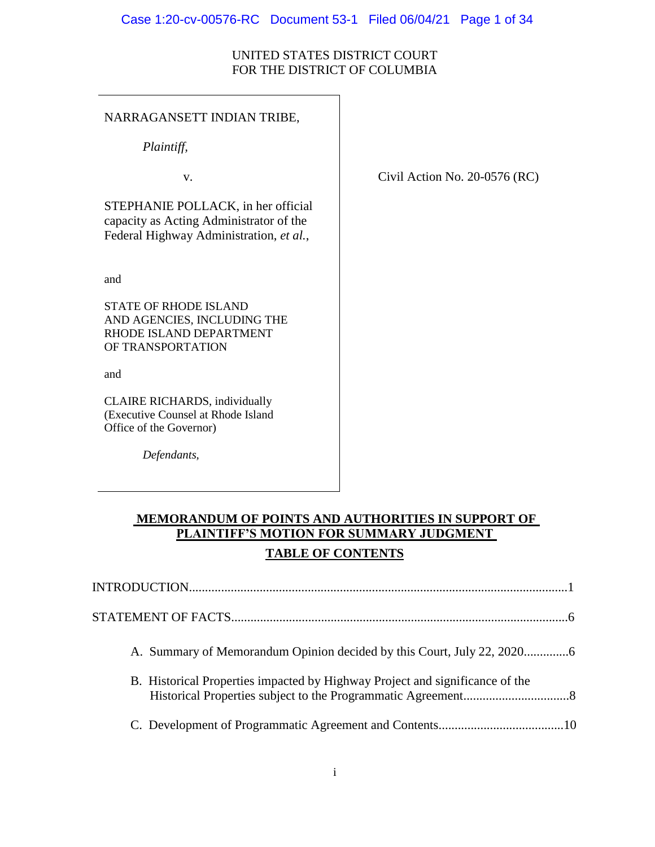#### Case 1:20-cv-00576-RC Document 53-1 Filed 06/04/21 Page 1 of 34

# UNITED STATES DISTRICT COURT FOR THE DISTRICT OF COLUMBIA

# NARRAGANSETT INDIAN TRIBE,

*Plaintiff,*

STEPHANIE POLLACK, in her official capacity as Acting Administrator of the Federal Highway Administration, *et al.*,

and

STATE OF RHODE ISLAND AND AGENCIES, INCLUDING THE RHODE ISLAND DEPARTMENT OF TRANSPORTATION

and

CLAIRE RICHARDS, individually (Executive Counsel at Rhode Island Office of the Governor)

*Defendants,*

v. Civil Action No. 20-0576 (RC)

# **MEMORANDUM OF POINTS AND AUTHORITIES IN SUPPORT OF PLAINTIFF'S MOTION FOR SUMMARY JUDGMENT TABLE OF CONTENTS**

| B. Historical Properties impacted by Highway Project and significance of the |  |
|------------------------------------------------------------------------------|--|
|                                                                              |  |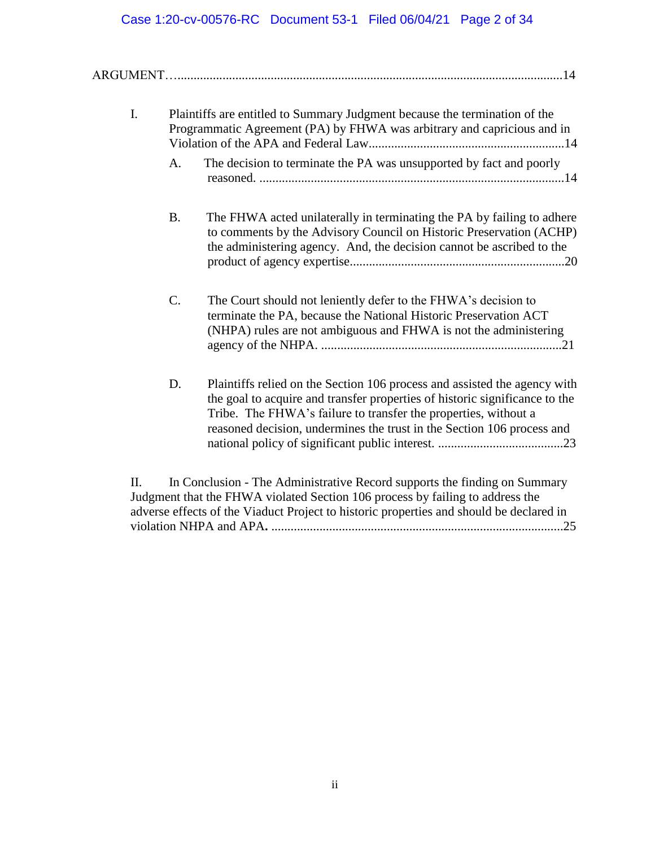# Case 1:20-cv-00576-RC Document 53-1 Filed 06/04/21 Page 2 of 34

| I.  |           | Plaintiffs are entitled to Summary Judgment because the termination of the<br>Programmatic Agreement (PA) by FHWA was arbitrary and capricious and in                                                                                                                                                 |
|-----|-----------|-------------------------------------------------------------------------------------------------------------------------------------------------------------------------------------------------------------------------------------------------------------------------------------------------------|
|     | A.        | The decision to terminate the PA was unsupported by fact and poorly                                                                                                                                                                                                                                   |
|     | <b>B.</b> | The FHWA acted unilaterally in terminating the PA by failing to adhere<br>to comments by the Advisory Council on Historic Preservation (ACHP)<br>the administering agency. And, the decision cannot be ascribed to the                                                                                |
|     | C.        | The Court should not leniently defer to the FHWA's decision to<br>terminate the PA, because the National Historic Preservation ACT<br>(NHPA) rules are not ambiguous and FHWA is not the administering                                                                                                |
|     | D.        | Plaintiffs relied on the Section 106 process and assisted the agency with<br>the goal to acquire and transfer properties of historic significance to the<br>Tribe. The FHWA's failure to transfer the properties, without a<br>reasoned decision, undermines the trust in the Section 106 process and |
| II. |           | In Conclusion - The Administrative Record supports the finding on Summary                                                                                                                                                                                                                             |

Judgment that the FHWA violated Section 106 process by failing to address the adverse effects of the Viaduct Project to historic properties and should be declared in violation NHPA and APA**.** ...........................................................................................25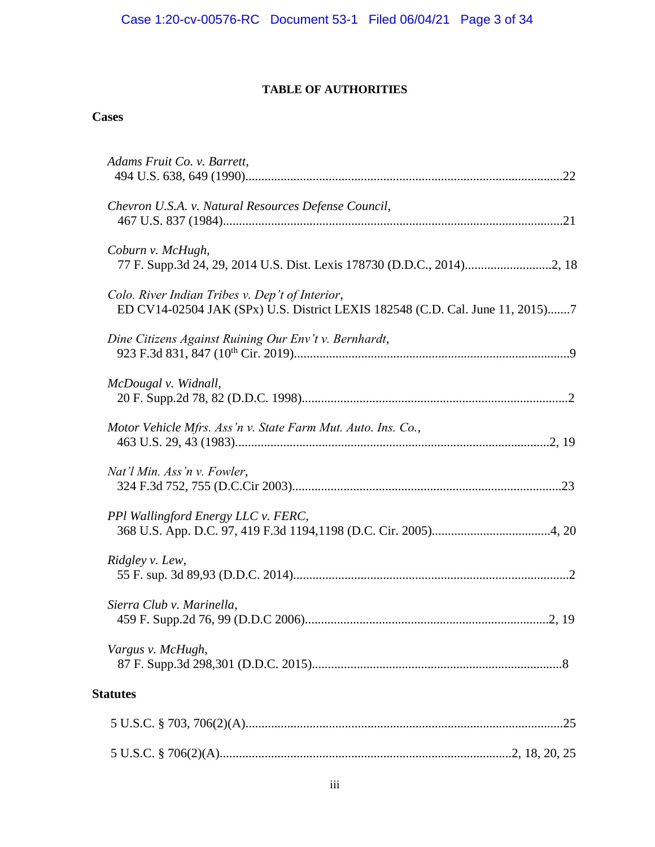# **TABLE OF AUTHORITIES**

# **Cases**

| Adams Fruit Co. v. Barrett,                                                                                                      |  |
|----------------------------------------------------------------------------------------------------------------------------------|--|
| Chevron U.S.A. v. Natural Resources Defense Council,                                                                             |  |
| Coburn v. McHugh,                                                                                                                |  |
| Colo. River Indian Tribes v. Dep't of Interior,<br>ED CV14-02504 JAK (SPx) U.S. District LEXIS 182548 (C.D. Cal. June 11, 2015)7 |  |
| Dine Citizens Against Ruining Our Env't v. Bernhardt,                                                                            |  |
| McDougal v. Widnall,                                                                                                             |  |
| Motor Vehicle Mfrs. Ass'n v. State Farm Mut. Auto. Ins. Co.,                                                                     |  |
| Nat'l Min. Ass'n v. Fowler,                                                                                                      |  |
| PPI Wallingford Energy LLC v. FERC,                                                                                              |  |
| Ridgley v. Lew,                                                                                                                  |  |
| Sierra Club v. Marinella,                                                                                                        |  |
| Vargus v. McHugh,                                                                                                                |  |
| <b>Statutes</b>                                                                                                                  |  |
|                                                                                                                                  |  |
|                                                                                                                                  |  |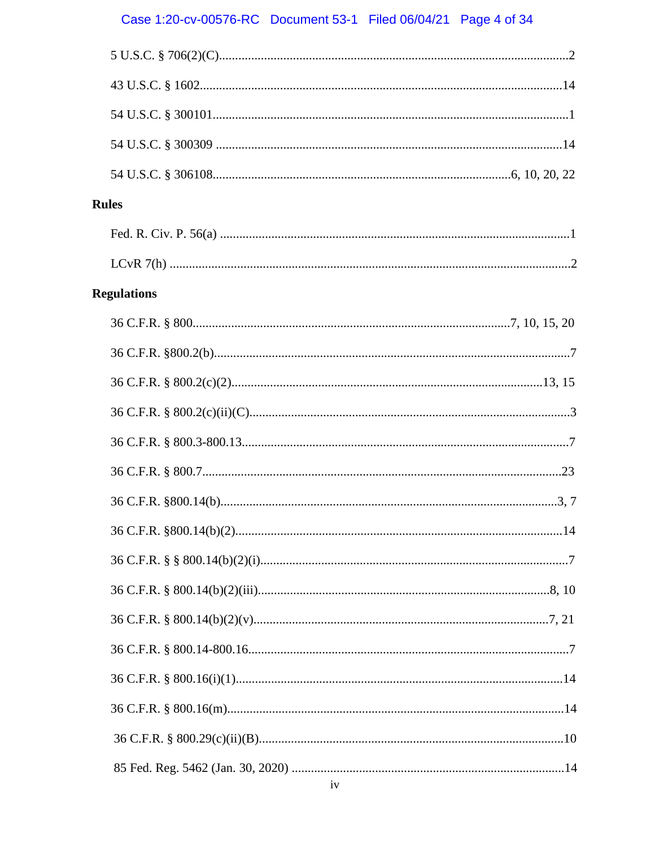# Case 1:20-cv-00576-RC Document 53-1 Filed 06/04/21 Page 4 of 34

| <b>Rules</b> |                    |  |
|--------------|--------------------|--|
|              |                    |  |
|              |                    |  |
|              | <b>Regulations</b> |  |
|              |                    |  |
|              |                    |  |
|              |                    |  |
|              |                    |  |
|              |                    |  |
|              |                    |  |
|              |                    |  |
|              |                    |  |
|              |                    |  |
|              |                    |  |
|              |                    |  |
|              |                    |  |
|              |                    |  |
|              |                    |  |
|              |                    |  |
|              |                    |  |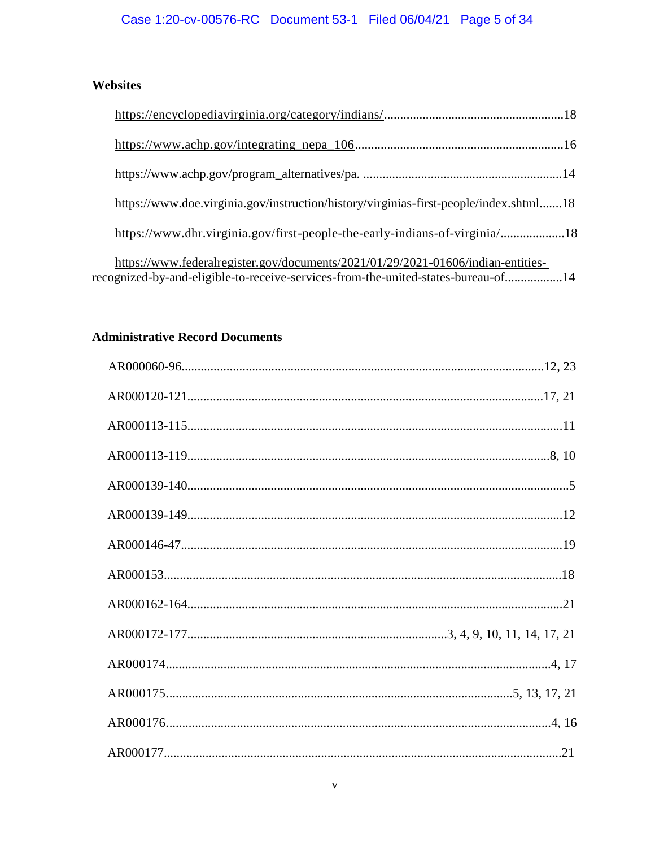# Case 1:20-cv-00576-RC Document 53-1 Filed 06/04/21 Page 5 of 34

# Websites

| https://www.doe.virginia.gov/instruction/history/virginias-first-people/index.shtml18                                                                                 |  |
|-----------------------------------------------------------------------------------------------------------------------------------------------------------------------|--|
| https://www.dhr.virginia.gov/first-people-the-early-indians-of-virginia/18                                                                                            |  |
| https://www.federalregister.gov/documents/2021/01/29/2021-01606/indian-entities-<br>recognized-by-and-eligible-to-receive-services-from-the-united-states-bureau-of14 |  |

# **Administrative Record Documents**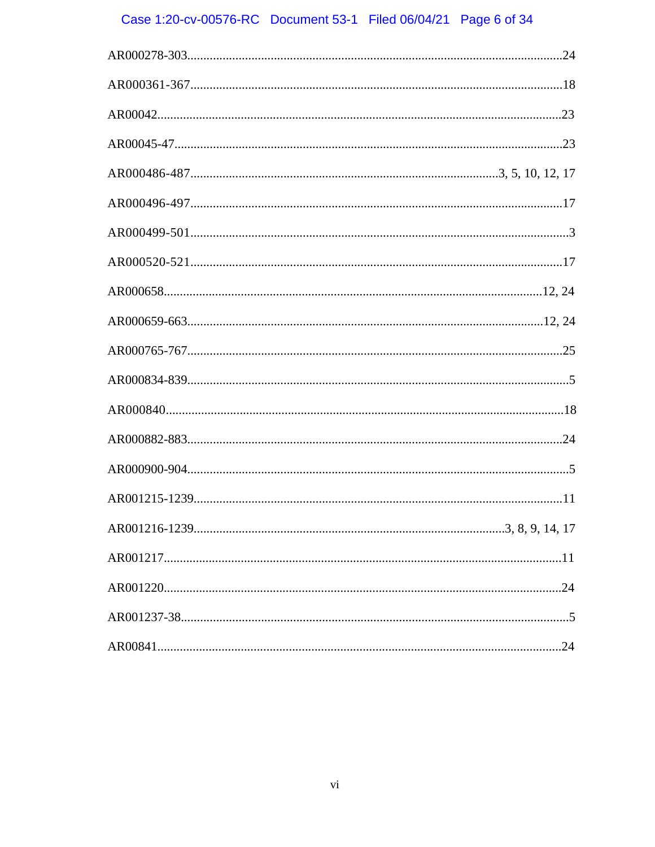# Case 1:20-cv-00576-RC Document 53-1 Filed 06/04/21 Page 6 of 34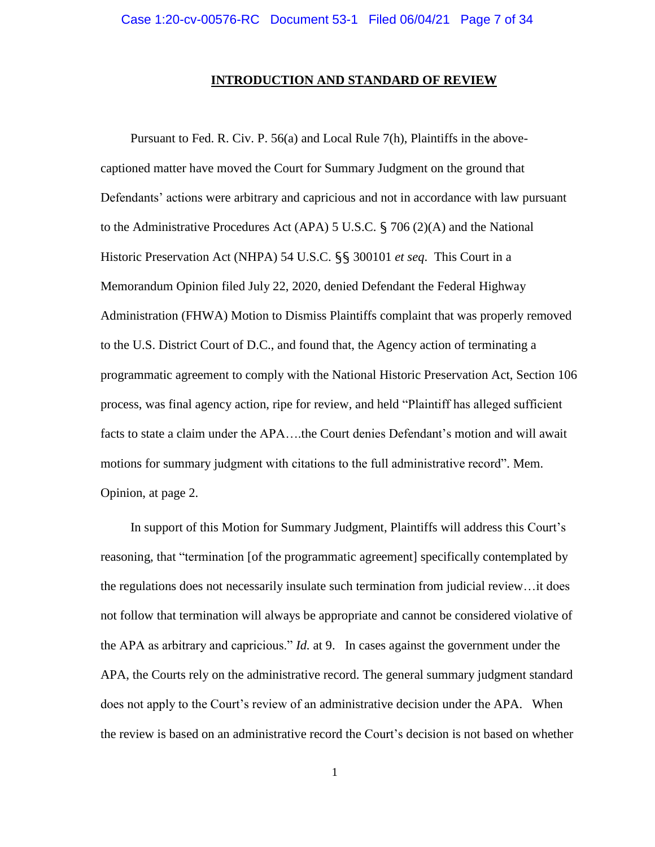#### **INTRODUCTION AND STANDARD OF REVIEW**

Pursuant to Fed. R. Civ. P. 56(a) and Local Rule 7(h), Plaintiffs in the abovecaptioned matter have moved the Court for Summary Judgment on the ground that Defendants' actions were arbitrary and capricious and not in accordance with law pursuant to the Administrative Procedures Act (APA) 5 U.S.C. § 706 (2)(A) and the National Historic Preservation Act (NHPA) 54 U.S.C. §§ 300101 *et seq*. This Court in a Memorandum Opinion filed July 22, 2020, denied Defendant the Federal Highway Administration (FHWA) Motion to Dismiss Plaintiffs complaint that was properly removed to the U.S. District Court of D.C., and found that, the Agency action of terminating a programmatic agreement to comply with the National Historic Preservation Act, Section 106 process, was final agency action, ripe for review, and held "Plaintiff has alleged sufficient facts to state a claim under the APA….the Court denies Defendant's motion and will await motions for summary judgment with citations to the full administrative record". Mem. Opinion, at page 2.

In support of this Motion for Summary Judgment, Plaintiffs will address this Court's reasoning, that "termination [of the programmatic agreement] specifically contemplated by the regulations does not necessarily insulate such termination from judicial review…it does not follow that termination will always be appropriate and cannot be considered violative of the APA as arbitrary and capricious." *Id.* at 9. In cases against the government under the APA, the Courts rely on the administrative record. The general summary judgment standard does not apply to the Court's review of an administrative decision under the APA. When the review is based on an administrative record the Court's decision is not based on whether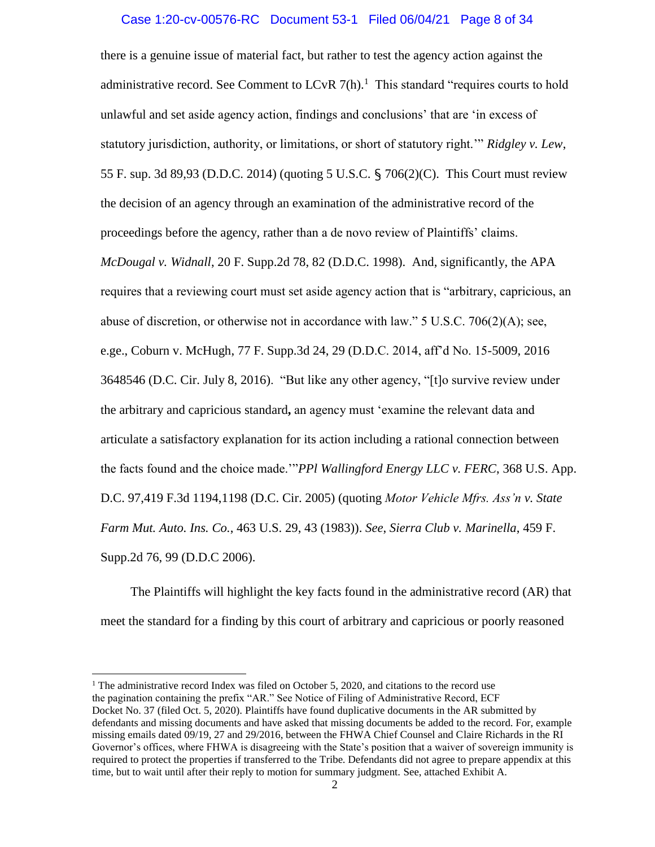#### Case 1:20-cv-00576-RC Document 53-1 Filed 06/04/21 Page 8 of 34

there is a genuine issue of material fact, but rather to test the agency action against the administrative record. See Comment to LCvR  $7(h)$ .<sup>1</sup> This standard "requires courts to hold unlawful and set aside agency action, findings and conclusions' that are 'in excess of statutory jurisdiction, authority, or limitations, or short of statutory right.'" *Ridgley v. Lew*, 55 F. sup. 3d 89,93 (D.D.C. 2014) (quoting 5 U.S.C. § 706(2)(C). This Court must review the decision of an agency through an examination of the administrative record of the proceedings before the agency, rather than a de novo review of Plaintiffs' claims. *McDougal v. Widnall*, 20 F. Supp.2d 78, 82 (D.D.C. 1998). And, significantly, the APA requires that a reviewing court must set aside agency action that is "arbitrary, capricious, an abuse of discretion, or otherwise not in accordance with law." 5 U.S.C. 706(2)(A); see, e.ge., Coburn v. McHugh, 77 F. Supp.3d 24, 29 (D.D.C. 2014, aff'd No. 15-5009, 2016 3648546 (D.C. Cir. July 8, 2016). "But like any other agency, "[t]o survive review under the arbitrary and capricious standard**,** an agency must 'examine the relevant data and articulate a satisfactory explanation for its action including a rational connection between the facts found and the choice made.'"*PPl Wallingford Energy LLC v. FERC*, 368 U.S. App. D.C. 97,419 F.3d 1194,1198 (D.C. Cir. 2005) (quoting *Motor Vehicle Mfrs. Ass'n v. State Farm Mut. Auto. Ins. Co.*, 463 U.S. 29, 43 (1983)). *See*, *Sierra Club v. Marinella*, 459 F. Supp.2d 76, 99 (D.D.C 2006).

The Plaintiffs will highlight the key facts found in the administrative record (AR) that meet the standard for a finding by this court of arbitrary and capricious or poorly reasoned

 $\overline{\phantom{a}}$ 

<sup>&</sup>lt;sup>1</sup> The administrative record Index was filed on October 5, 2020, and citations to the record use the pagination containing the prefix "AR." See Notice of Filing of Administrative Record, ECF Docket No. 37 (filed Oct. 5, 2020). Plaintiffs have found duplicative documents in the AR submitted by defendants and missing documents and have asked that missing documents be added to the record. For, example missing emails dated 09/19, 27 and 29/2016, between the FHWA Chief Counsel and Claire Richards in the RI Governor's offices, where FHWA is disagreeing with the State's position that a waiver of sovereign immunity is required to protect the properties if transferred to the Tribe. Defendants did not agree to prepare appendix at this time, but to wait until after their reply to motion for summary judgment. See, attached Exhibit A.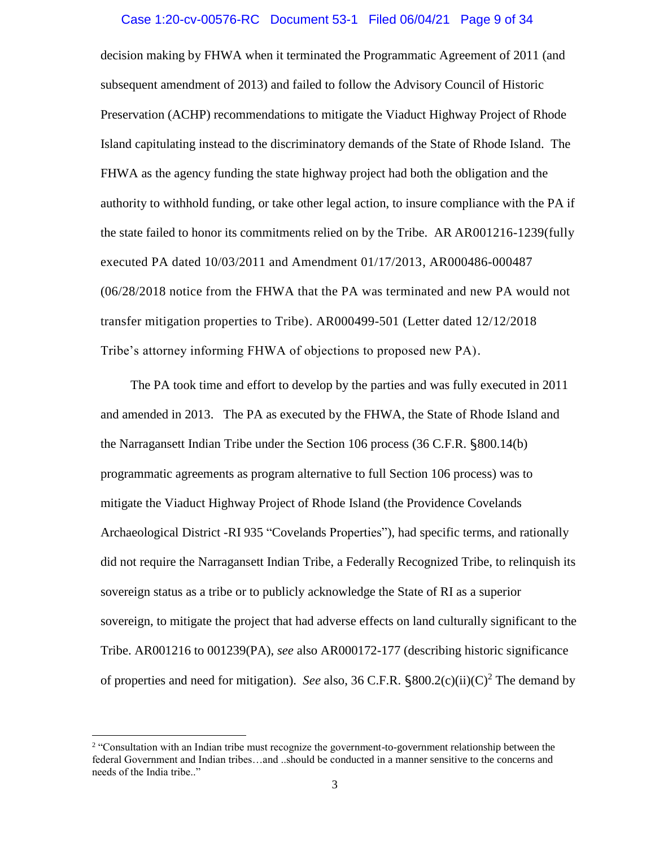#### Case 1:20-cv-00576-RC Document 53-1 Filed 06/04/21 Page 9 of 34

decision making by FHWA when it terminated the Programmatic Agreement of 2011 (and subsequent amendment of 2013) and failed to follow the Advisory Council of Historic Preservation (ACHP) recommendations to mitigate the Viaduct Highway Project of Rhode Island capitulating instead to the discriminatory demands of the State of Rhode Island. The FHWA as the agency funding the state highway project had both the obligation and the authority to withhold funding, or take other legal action, to insure compliance with the PA if the state failed to honor its commitments relied on by the Tribe. AR AR001216-1239(fully executed PA dated 10/03/2011 and Amendment 01/17/2013, AR000486-000487 (06/28/2018 notice from the FHWA that the PA was terminated and new PA would not transfer mitigation properties to Tribe). AR000499-501 (Letter dated 12/12/2018 Tribe's attorney informing FHWA of objections to proposed new PA).

The PA took time and effort to develop by the parties and was fully executed in 2011 and amended in 2013. The PA as executed by the FHWA, the State of Rhode Island and the Narragansett Indian Tribe under the Section 106 process (36 C.F.R. §800.14(b) programmatic agreements as program alternative to full Section 106 process) was to mitigate the Viaduct Highway Project of Rhode Island (the Providence Covelands Archaeological District -RI 935 "Covelands Properties"), had specific terms, and rationally did not require the Narragansett Indian Tribe, a Federally Recognized Tribe, to relinquish its sovereign status as a tribe or to publicly acknowledge the State of RI as a superior sovereign, to mitigate the project that had adverse effects on land culturally significant to the Tribe. AR001216 to 001239(PA), *see* also AR000172-177 (describing historic significance of properties and need for mitigation). *See* also, 36 C.F.R.  $\S 800.2(c)(ii)(C)^2$  The demand by

l

<sup>&</sup>lt;sup>2</sup> "Consultation with an Indian tribe must recognize the government-to-government relationship between the federal Government and Indian tribes…and ..should be conducted in a manner sensitive to the concerns and needs of the India tribe.."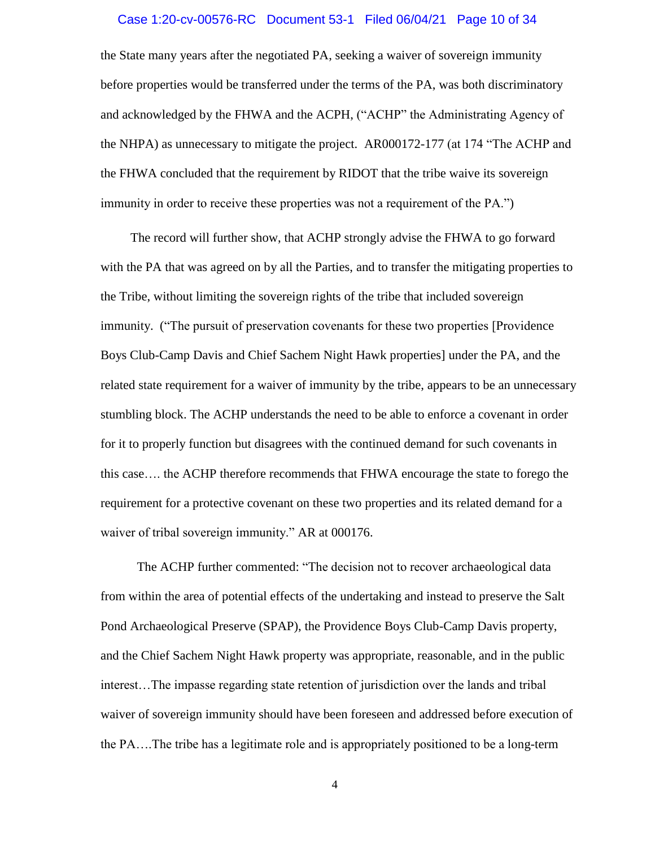#### Case 1:20-cv-00576-RC Document 53-1 Filed 06/04/21 Page 10 of 34

the State many years after the negotiated PA, seeking a waiver of sovereign immunity before properties would be transferred under the terms of the PA, was both discriminatory and acknowledged by the FHWA and the ACPH, ("ACHP" the Administrating Agency of the NHPA) as unnecessary to mitigate the project. AR000172-177 (at 174 "The ACHP and the FHWA concluded that the requirement by RIDOT that the tribe waive its sovereign immunity in order to receive these properties was not a requirement of the PA.")

The record will further show, that ACHP strongly advise the FHWA to go forward with the PA that was agreed on by all the Parties, and to transfer the mitigating properties to the Tribe, without limiting the sovereign rights of the tribe that included sovereign immunity. ("The pursuit of preservation covenants for these two properties [Providence Boys Club-Camp Davis and Chief Sachem Night Hawk properties] under the PA, and the related state requirement for a waiver of immunity by the tribe, appears to be an unnecessary stumbling block. The ACHP understands the need to be able to enforce a covenant in order for it to properly function but disagrees with the continued demand for such covenants in this case…. the ACHP therefore recommends that FHWA encourage the state to forego the requirement for a protective covenant on these two properties and its related demand for a waiver of tribal sovereign immunity." AR at 000176.

 The ACHP further commented: "The decision not to recover archaeological data from within the area of potential effects of the undertaking and instead to preserve the Salt Pond Archaeological Preserve (SPAP), the Providence Boys Club-Camp Davis property, and the Chief Sachem Night Hawk property was appropriate, reasonable, and in the public interest…The impasse regarding state retention of jurisdiction over the lands and tribal waiver of sovereign immunity should have been foreseen and addressed before execution of the PA….The tribe has a legitimate role and is appropriately positioned to be a long-term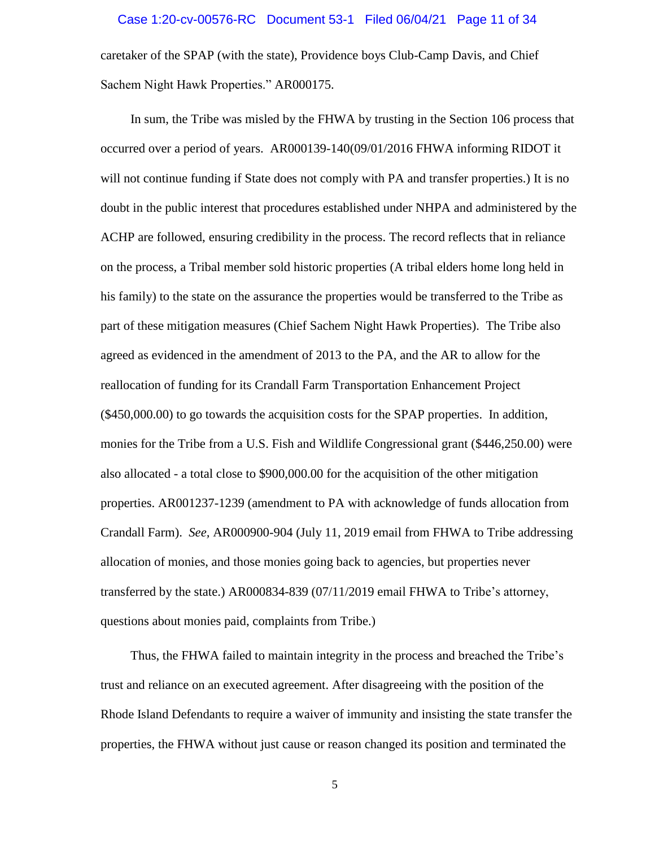caretaker of the SPAP (with the state), Providence boys Club-Camp Davis, and Chief Sachem Night Hawk Properties." AR000175.

In sum, the Tribe was misled by the FHWA by trusting in the Section 106 process that occurred over a period of years. AR000139-140(09/01/2016 FHWA informing RIDOT it will not continue funding if State does not comply with PA and transfer properties.) It is no doubt in the public interest that procedures established under NHPA and administered by the ACHP are followed, ensuring credibility in the process. The record reflects that in reliance on the process, a Tribal member sold historic properties (A tribal elders home long held in his family) to the state on the assurance the properties would be transferred to the Tribe as part of these mitigation measures (Chief Sachem Night Hawk Properties). The Tribe also agreed as evidenced in the amendment of 2013 to the PA, and the AR to allow for the reallocation of funding for its Crandall Farm Transportation Enhancement Project (\$450,000.00) to go towards the acquisition costs for the SPAP properties. In addition, monies for the Tribe from a U.S. Fish and Wildlife Congressional grant (\$446,250.00) were also allocated - a total close to \$900,000.00 for the acquisition of the other mitigation properties. AR001237-1239 (amendment to PA with acknowledge of funds allocation from Crandall Farm). *See,* AR000900-904 (July 11, 2019 email from FHWA to Tribe addressing allocation of monies, and those monies going back to agencies, but properties never transferred by the state.) AR000834-839 (07/11/2019 email FHWA to Tribe's attorney, questions about monies paid, complaints from Tribe.)

Thus, the FHWA failed to maintain integrity in the process and breached the Tribe's trust and reliance on an executed agreement. After disagreeing with the position of the Rhode Island Defendants to require a waiver of immunity and insisting the state transfer the properties, the FHWA without just cause or reason changed its position and terminated the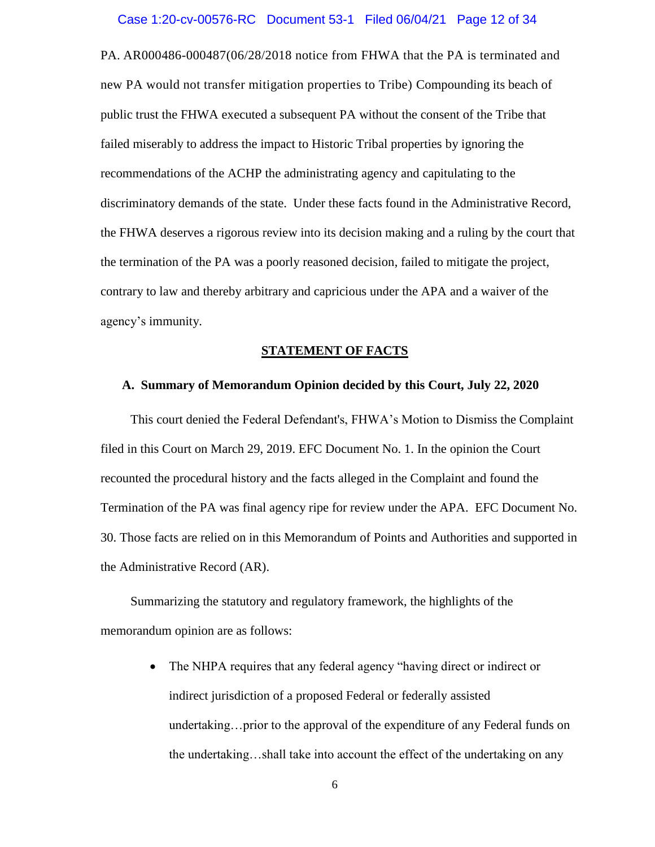#### Case 1:20-cv-00576-RC Document 53-1 Filed 06/04/21 Page 12 of 34

PA. AR000486-000487(06/28/2018 notice from FHWA that the PA is terminated and new PA would not transfer mitigation properties to Tribe) Compounding its beach of public trust the FHWA executed a subsequent PA without the consent of the Tribe that failed miserably to address the impact to Historic Tribal properties by ignoring the recommendations of the ACHP the administrating agency and capitulating to the discriminatory demands of the state. Under these facts found in the Administrative Record, the FHWA deserves a rigorous review into its decision making and a ruling by the court that the termination of the PA was a poorly reasoned decision, failed to mitigate the project, contrary to law and thereby arbitrary and capricious under the APA and a waiver of the agency's immunity.

#### **STATEMENT OF FACTS**

#### **A. Summary of Memorandum Opinion decided by this Court, July 22, 2020**

This court denied the Federal Defendant's, FHWA's Motion to Dismiss the Complaint filed in this Court on March 29, 2019. EFC Document No. 1. In the opinion the Court recounted the procedural history and the facts alleged in the Complaint and found the Termination of the PA was final agency ripe for review under the APA. EFC Document No. 30. Those facts are relied on in this Memorandum of Points and Authorities and supported in the Administrative Record (AR).

Summarizing the statutory and regulatory framework, the highlights of the memorandum opinion are as follows:

> • The NHPA requires that any federal agency "having direct or indirect or indirect jurisdiction of a proposed Federal or federally assisted undertaking…prior to the approval of the expenditure of any Federal funds on the undertaking…shall take into account the effect of the undertaking on any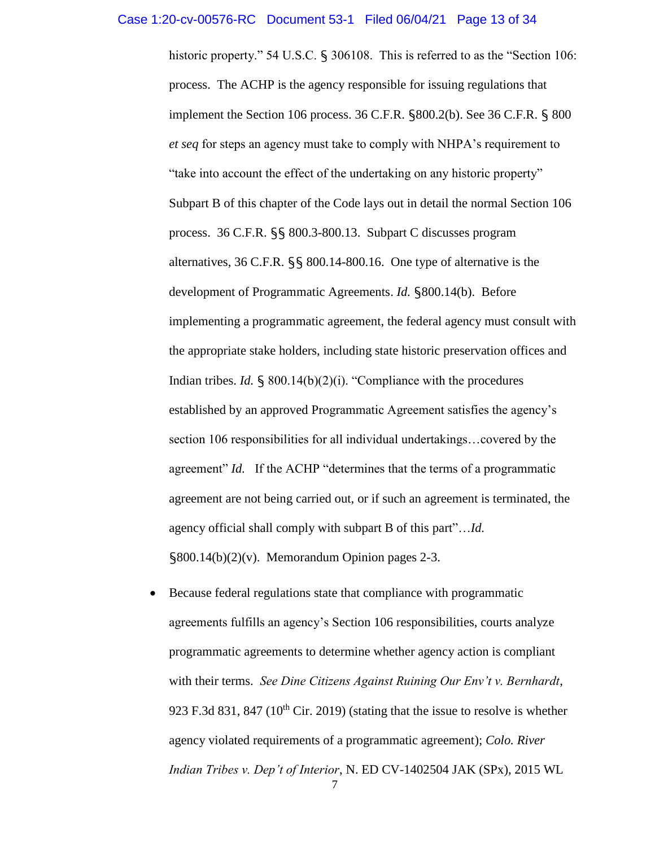#### Case 1:20-cv-00576-RC Document 53-1 Filed 06/04/21 Page 13 of 34

historic property." 54 U.S.C. § 306108. This is referred to as the "Section 106: process. The ACHP is the agency responsible for issuing regulations that implement the Section 106 process. 36 C.F.R. §800.2(b). See 36 C.F.R. § 800 *et seq* for steps an agency must take to comply with NHPA's requirement to "take into account the effect of the undertaking on any historic property" Subpart B of this chapter of the Code lays out in detail the normal Section 106 process. 36 C.F.R. §§ 800.3-800.13. Subpart C discusses program alternatives, 36 C.F.R. §§ 800.14-800.16. One type of alternative is the development of Programmatic Agreements. *Id.* §800.14(b). Before implementing a programmatic agreement, the federal agency must consult with the appropriate stake holders, including state historic preservation offices and Indian tribes. *Id.* § 800.14(b)(2)(i). "Compliance with the procedures established by an approved Programmatic Agreement satisfies the agency's section 106 responsibilities for all individual undertakings…covered by the agreement" *Id.* If the ACHP "determines that the terms of a programmatic agreement are not being carried out, or if such an agreement is terminated, the agency official shall comply with subpart B of this part"…*Id.* §800.14(b)(2)(v). Memorandum Opinion pages 2-3.

 Because federal regulations state that compliance with programmatic agreements fulfills an agency's Section 106 responsibilities, courts analyze programmatic agreements to determine whether agency action is compliant with their terms. *See Dine Citizens Against Ruining Our Env't v. Bernhardt*, 923 F.3d 831, 847 ( $10^{th}$  Cir. 2019) (stating that the issue to resolve is whether agency violated requirements of a programmatic agreement); *Colo. River Indian Tribes v. Dep't of Interior*, N. ED CV-1402504 JAK (SPx), 2015 WL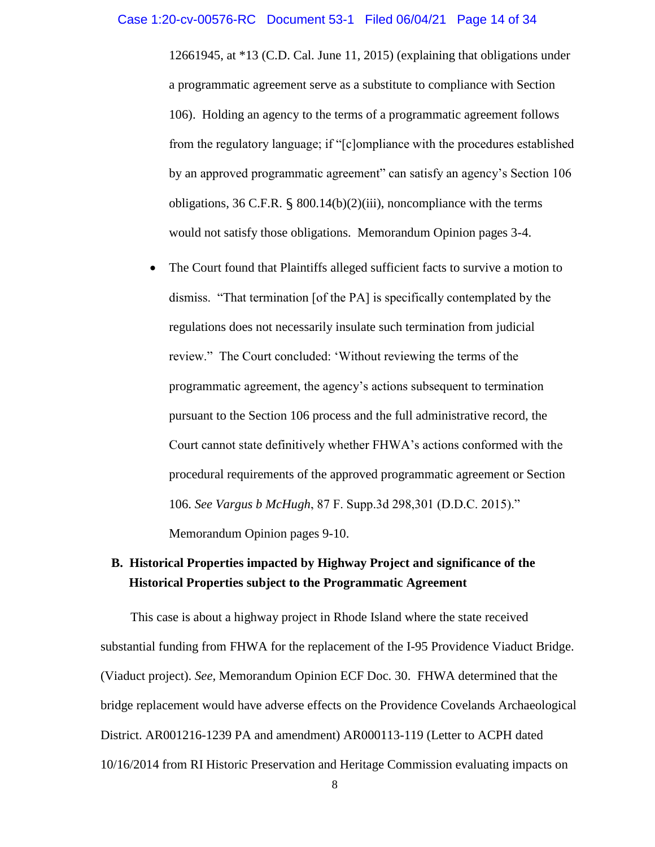12661945, at \*13 (C.D. Cal. June 11, 2015) (explaining that obligations under a programmatic agreement serve as a substitute to compliance with Section 106). Holding an agency to the terms of a programmatic agreement follows from the regulatory language; if "[c]ompliance with the procedures established by an approved programmatic agreement" can satisfy an agency's Section 106 obligations, 36 C.F.R.  $\S$  800.14(b)(2)(iii), noncompliance with the terms would not satisfy those obligations. Memorandum Opinion pages 3-4.

 The Court found that Plaintiffs alleged sufficient facts to survive a motion to dismiss. "That termination [of the PA] is specifically contemplated by the regulations does not necessarily insulate such termination from judicial review." The Court concluded: 'Without reviewing the terms of the programmatic agreement, the agency's actions subsequent to termination pursuant to the Section 106 process and the full administrative record, the Court cannot state definitively whether FHWA's actions conformed with the procedural requirements of the approved programmatic agreement or Section 106. *See Vargus b McHugh*, 87 F. Supp.3d 298,301 (D.D.C. 2015)." Memorandum Opinion pages 9-10.

# **B. Historical Properties impacted by Highway Project and significance of the Historical Properties subject to the Programmatic Agreement**

This case is about a highway project in Rhode Island where the state received substantial funding from FHWA for the replacement of the I-95 Providence Viaduct Bridge. (Viaduct project). *See,* Memorandum Opinion ECF Doc. 30. FHWA determined that the bridge replacement would have adverse effects on the Providence Covelands Archaeological District. AR001216-1239 PA and amendment) AR000113-119 (Letter to ACPH dated 10/16/2014 from RI Historic Preservation and Heritage Commission evaluating impacts on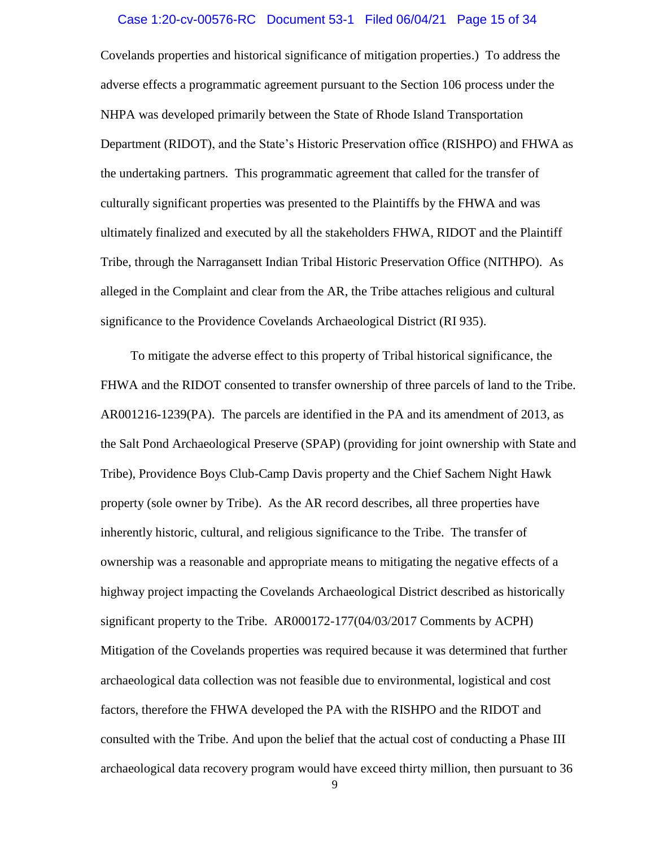#### Case 1:20-cv-00576-RC Document 53-1 Filed 06/04/21 Page 15 of 34

Covelands properties and historical significance of mitigation properties.) To address the adverse effects a programmatic agreement pursuant to the Section 106 process under the NHPA was developed primarily between the State of Rhode Island Transportation Department (RIDOT), and the State's Historic Preservation office (RISHPO) and FHWA as the undertaking partners. This programmatic agreement that called for the transfer of culturally significant properties was presented to the Plaintiffs by the FHWA and was ultimately finalized and executed by all the stakeholders FHWA, RIDOT and the Plaintiff Tribe, through the Narragansett Indian Tribal Historic Preservation Office (NITHPO). As alleged in the Complaint and clear from the AR, the Tribe attaches religious and cultural significance to the Providence Covelands Archaeological District (RI 935).

To mitigate the adverse effect to this property of Tribal historical significance, the FHWA and the RIDOT consented to transfer ownership of three parcels of land to the Tribe. AR001216-1239(PA). The parcels are identified in the PA and its amendment of 2013, as the Salt Pond Archaeological Preserve (SPAP) (providing for joint ownership with State and Tribe), Providence Boys Club-Camp Davis property and the Chief Sachem Night Hawk property (sole owner by Tribe). As the AR record describes, all three properties have inherently historic, cultural, and religious significance to the Tribe. The transfer of ownership was a reasonable and appropriate means to mitigating the negative effects of a highway project impacting the Covelands Archaeological District described as historically significant property to the Tribe. AR000172-177(04/03/2017 Comments by ACPH) Mitigation of the Covelands properties was required because it was determined that further archaeological data collection was not feasible due to environmental, logistical and cost factors, therefore the FHWA developed the PA with the RISHPO and the RIDOT and consulted with the Tribe. And upon the belief that the actual cost of conducting a Phase III archaeological data recovery program would have exceed thirty million, then pursuant to 36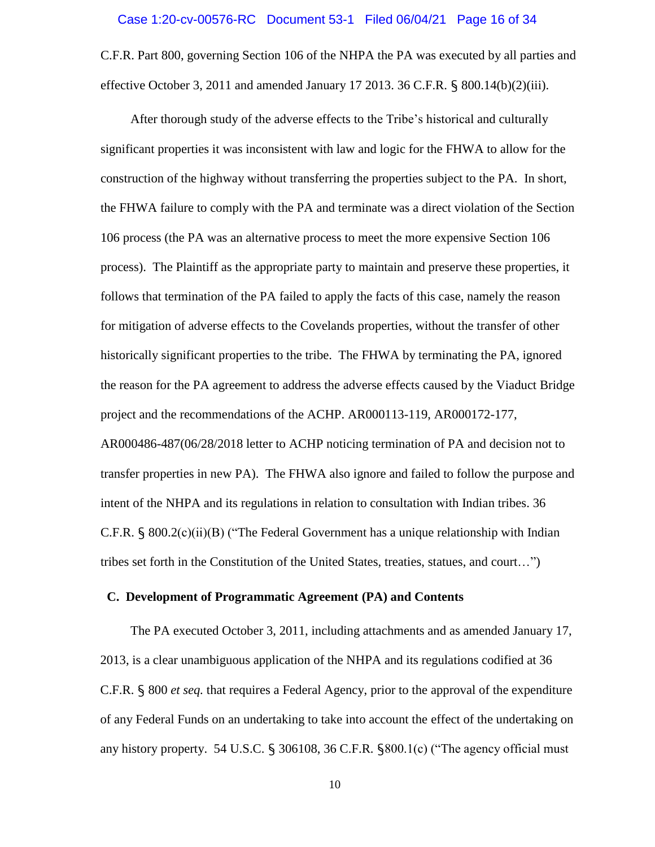#### Case 1:20-cv-00576-RC Document 53-1 Filed 06/04/21 Page 16 of 34

C.F.R. Part 800, governing Section 106 of the NHPA the PA was executed by all parties and effective October 3, 2011 and amended January 17 2013. 36 C.F.R. § 800.14(b)(2)(iii).

After thorough study of the adverse effects to the Tribe's historical and culturally significant properties it was inconsistent with law and logic for the FHWA to allow for the construction of the highway without transferring the properties subject to the PA. In short, the FHWA failure to comply with the PA and terminate was a direct violation of the Section 106 process (the PA was an alternative process to meet the more expensive Section 106 process). The Plaintiff as the appropriate party to maintain and preserve these properties, it follows that termination of the PA failed to apply the facts of this case, namely the reason for mitigation of adverse effects to the Covelands properties, without the transfer of other historically significant properties to the tribe. The FHWA by terminating the PA, ignored the reason for the PA agreement to address the adverse effects caused by the Viaduct Bridge project and the recommendations of the ACHP. AR000113-119, AR000172-177, AR000486-487(06/28/2018 letter to ACHP noticing termination of PA and decision not to transfer properties in new PA). The FHWA also ignore and failed to follow the purpose and intent of the NHPA and its regulations in relation to consultation with Indian tribes. 36 C.F.R.  $\S 800.2(c)(ii)(B)$  ("The Federal Government has a unique relationship with Indian tribes set forth in the Constitution of the United States, treaties, statues, and court…")

#### **C. Development of Programmatic Agreement (PA) and Contents**

The PA executed October 3, 2011, including attachments and as amended January 17, 2013, is a clear unambiguous application of the NHPA and its regulations codified at 36 C.F.R. § 800 *et seq.* that requires a Federal Agency, prior to the approval of the expenditure of any Federal Funds on an undertaking to take into account the effect of the undertaking on any history property. 54 U.S.C. § 306108, 36 C.F.R. §800.1(c) ("The agency official must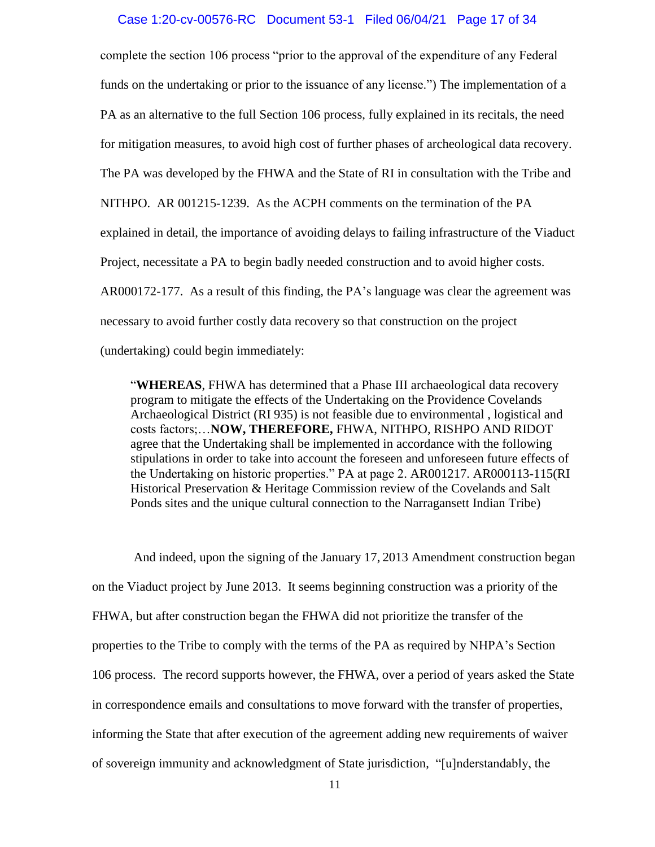#### Case 1:20-cv-00576-RC Document 53-1 Filed 06/04/21 Page 17 of 34

complete the section 106 process "prior to the approval of the expenditure of any Federal funds on the undertaking or prior to the issuance of any license.") The implementation of a PA as an alternative to the full Section 106 process, fully explained in its recitals, the need for mitigation measures, to avoid high cost of further phases of archeological data recovery. The PA was developed by the FHWA and the State of RI in consultation with the Tribe and NITHPO. AR 001215-1239. As the ACPH comments on the termination of the PA explained in detail, the importance of avoiding delays to failing infrastructure of the Viaduct Project, necessitate a PA to begin badly needed construction and to avoid higher costs. AR000172-177. As a result of this finding, the PA's language was clear the agreement was necessary to avoid further costly data recovery so that construction on the project (undertaking) could begin immediately:

"**WHEREAS**, FHWA has determined that a Phase III archaeological data recovery program to mitigate the effects of the Undertaking on the Providence Covelands Archaeological District (RI 935) is not feasible due to environmental , logistical and costs factors;…**NOW, THEREFORE,** FHWA, NITHPO, RISHPO AND RIDOT agree that the Undertaking shall be implemented in accordance with the following stipulations in order to take into account the foreseen and unforeseen future effects of the Undertaking on historic properties." PA at page 2. AR001217. AR000113-115(RI Historical Preservation & Heritage Commission review of the Covelands and Salt Ponds sites and the unique cultural connection to the Narragansett Indian Tribe)

And indeed, upon the signing of the January 17, 2013 Amendment construction began on the Viaduct project by June 2013. It seems beginning construction was a priority of the FHWA, but after construction began the FHWA did not prioritize the transfer of the properties to the Tribe to comply with the terms of the PA as required by NHPA's Section 106 process. The record supports however, the FHWA, over a period of years asked the State in correspondence emails and consultations to move forward with the transfer of properties, informing the State that after execution of the agreement adding new requirements of waiver of sovereign immunity and acknowledgment of State jurisdiction, "[u]nderstandably, the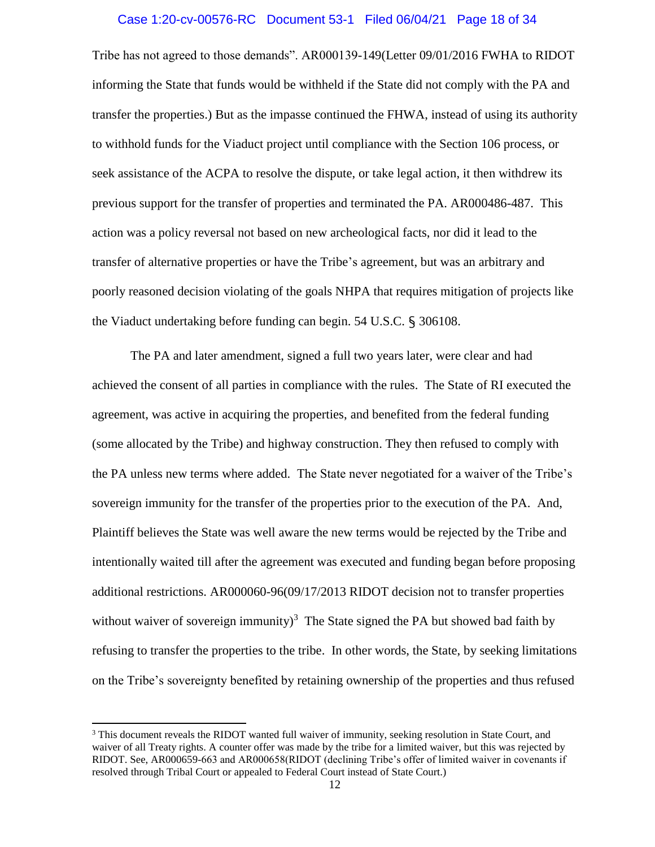#### Case 1:20-cv-00576-RC Document 53-1 Filed 06/04/21 Page 18 of 34

Tribe has not agreed to those demands". AR000139-149(Letter 09/01/2016 FWHA to RIDOT informing the State that funds would be withheld if the State did not comply with the PA and transfer the properties.) But as the impasse continued the FHWA, instead of using its authority to withhold funds for the Viaduct project until compliance with the Section 106 process, or seek assistance of the ACPA to resolve the dispute, or take legal action, it then withdrew its previous support for the transfer of properties and terminated the PA. AR000486-487. This action was a policy reversal not based on new archeological facts, nor did it lead to the transfer of alternative properties or have the Tribe's agreement, but was an arbitrary and poorly reasoned decision violating of the goals NHPA that requires mitigation of projects like the Viaduct undertaking before funding can begin. 54 U.S.C. § 306108.

The PA and later amendment, signed a full two years later, were clear and had achieved the consent of all parties in compliance with the rules. The State of RI executed the agreement, was active in acquiring the properties, and benefited from the federal funding (some allocated by the Tribe) and highway construction. They then refused to comply with the PA unless new terms where added. The State never negotiated for a waiver of the Tribe's sovereign immunity for the transfer of the properties prior to the execution of the PA. And, Plaintiff believes the State was well aware the new terms would be rejected by the Tribe and intentionally waited till after the agreement was executed and funding began before proposing additional restrictions. AR000060-96(09/17/2013 RIDOT decision not to transfer properties without waiver of sovereign immunity)<sup>3</sup> The State signed the PA but showed bad faith by refusing to transfer the properties to the tribe. In other words, the State, by seeking limitations on the Tribe's sovereignty benefited by retaining ownership of the properties and thus refused

 $\overline{\phantom{a}}$ 

<sup>&</sup>lt;sup>3</sup> This document reveals the RIDOT wanted full waiver of immunity, seeking resolution in State Court, and waiver of all Treaty rights. A counter offer was made by the tribe for a limited waiver, but this was rejected by RIDOT. See, AR000659-663 and AR000658(RIDOT (declining Tribe's offer of limited waiver in covenants if resolved through Tribal Court or appealed to Federal Court instead of State Court.)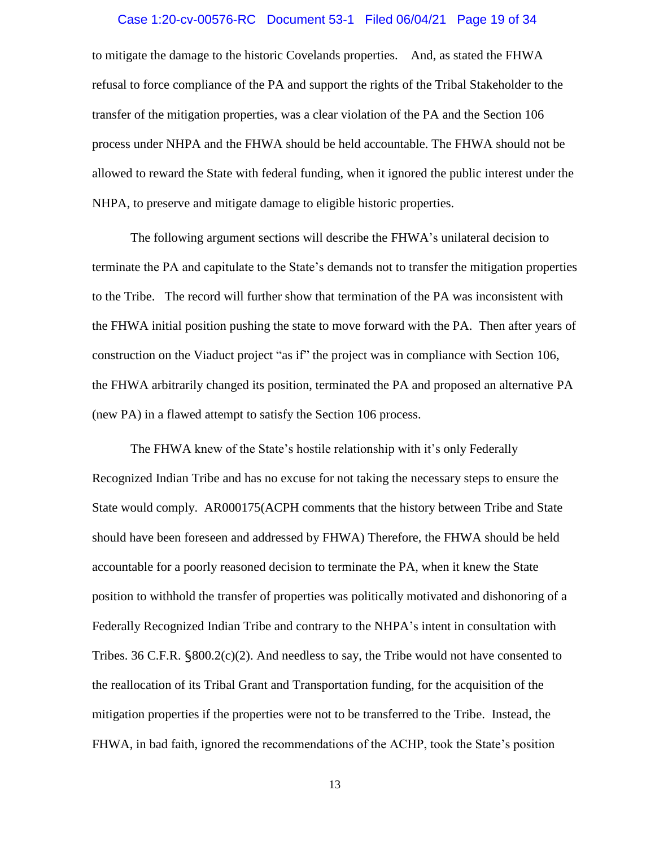#### Case 1:20-cv-00576-RC Document 53-1 Filed 06/04/21 Page 19 of 34

to mitigate the damage to the historic Covelands properties. And, as stated the FHWA refusal to force compliance of the PA and support the rights of the Tribal Stakeholder to the transfer of the mitigation properties, was a clear violation of the PA and the Section 106 process under NHPA and the FHWA should be held accountable. The FHWA should not be allowed to reward the State with federal funding, when it ignored the public interest under the NHPA, to preserve and mitigate damage to eligible historic properties.

The following argument sections will describe the FHWA's unilateral decision to terminate the PA and capitulate to the State's demands not to transfer the mitigation properties to the Tribe. The record will further show that termination of the PA was inconsistent with the FHWA initial position pushing the state to move forward with the PA. Then after years of construction on the Viaduct project "as if" the project was in compliance with Section 106, the FHWA arbitrarily changed its position, terminated the PA and proposed an alternative PA (new PA) in a flawed attempt to satisfy the Section 106 process.

The FHWA knew of the State's hostile relationship with it's only Federally Recognized Indian Tribe and has no excuse for not taking the necessary steps to ensure the State would comply. AR000175(ACPH comments that the history between Tribe and State should have been foreseen and addressed by FHWA) Therefore, the FHWA should be held accountable for a poorly reasoned decision to terminate the PA, when it knew the State position to withhold the transfer of properties was politically motivated and dishonoring of a Federally Recognized Indian Tribe and contrary to the NHPA's intent in consultation with Tribes. 36 C.F.R.  $\frac{$800.2(c)(2)}{2}$ . And needless to say, the Tribe would not have consented to the reallocation of its Tribal Grant and Transportation funding, for the acquisition of the mitigation properties if the properties were not to be transferred to the Tribe. Instead, the FHWA, in bad faith, ignored the recommendations of the ACHP, took the State's position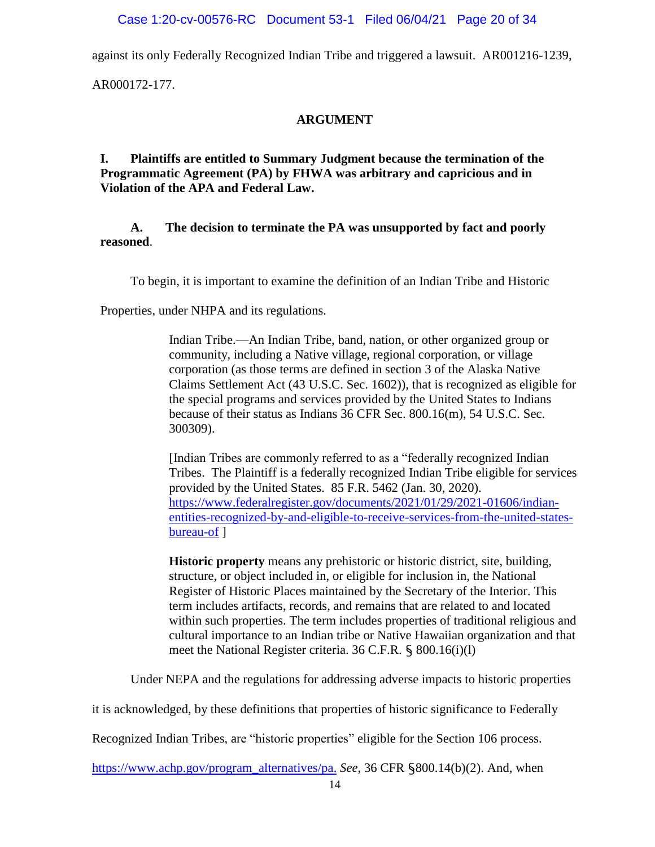against its only Federally Recognized Indian Tribe and triggered a lawsuit. AR001216-1239,

AR000172-177.

# **ARGUMENT**

**I. Plaintiffs are entitled to Summary Judgment because the termination of the Programmatic Agreement (PA) by FHWA was arbitrary and capricious and in Violation of the APA and Federal Law.**

# **A. The decision to terminate the PA was unsupported by fact and poorly reasoned**.

To begin, it is important to examine the definition of an Indian Tribe and Historic

Properties, under NHPA and its regulations.

Indian Tribe.—An Indian Tribe, band, nation, or other organized group or community, including a Native village, regional corporation, or village corporation (as those terms are defined in section 3 of the Alaska Native Claims Settlement Act (43 U.S.C. Sec. 1602)), that is recognized as eligible for the special programs and services provided by the United States to Indians because of their status as Indians 36 CFR Sec. 800.16(m), 54 U.S.C. Sec. 300309).

[Indian Tribes are commonly referred to as a "federally recognized Indian Tribes. The Plaintiff is a federally recognized Indian Tribe eligible for services provided by the United States. 85 F.R. 5462 (Jan. 30, 2020). [https://www.federalregister.gov/documents/2021/01/29/2021-01606/indian](about:blank)[entities-recognized-by-and-eligible-to-receive-services-from-the-united-states](about:blank)[bureau-of](about:blank) ]

**Historic property** means any prehistoric or historic district, site, building, structure, or object included in, or eligible for inclusion in, the National Register of Historic Places maintained by the [Secretary](about:blank) of the Interior. This term includes artifacts, records, and remains that are related to and located within such properties. The term includes properties of traditional religious and cultural importance to an Indian tribe or Native Hawaiian organization and that meet the National Register criteria. 36 C.F.R. § 800.16(i)(l)

Under NEPA and the regulations for addressing adverse impacts to historic properties

it is acknowledged, by these definitions that properties of historic significance to Federally

Recognized Indian Tribes, are "historic properties" eligible for the Section 106 process.

[https://www.achp.gov/program\\_alternatives/pa.](about:blank) *See,* 36 CFR §800.14(b)(2). And, when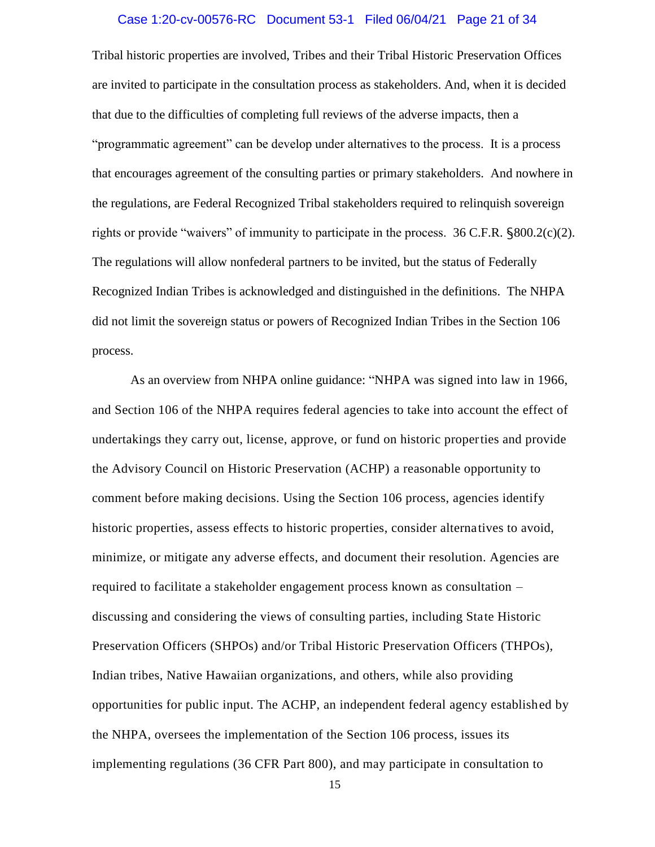#### Case 1:20-cv-00576-RC Document 53-1 Filed 06/04/21 Page 21 of 34

Tribal historic properties are involved, Tribes and their Tribal Historic Preservation Offices are invited to participate in the consultation process as stakeholders. And, when it is decided that due to the difficulties of completing full reviews of the adverse impacts, then a "programmatic agreement" can be develop under alternatives to the process. It is a process that encourages agreement of the consulting parties or primary stakeholders. And nowhere in the regulations, are Federal Recognized Tribal stakeholders required to relinquish sovereign rights or provide "waivers" of immunity to participate in the process. 36 C.F.R. §800.2(c)(2). The regulations will allow nonfederal partners to be invited, but the status of Federally Recognized Indian Tribes is acknowledged and distinguished in the definitions. The NHPA did not limit the sovereign status or powers of Recognized Indian Tribes in the Section 106 process.

As an overview from NHPA online guidance: "NHPA was signed into law in 1966, and Section 106 of the NHPA requires federal agencies to take into account the effect of undertakings they carry out, license, approve, or fund on historic properties and provide the Advisory Council on Historic Preservation (ACHP) a reasonable opportunity to comment before making decisions. Using the Section 106 process, agencies identify historic properties, assess effects to historic properties, consider alternatives to avoid, minimize, or mitigate any adverse effects, and document their resolution. Agencies are required to facilitate a stakeholder engagement process known as consultation – discussing and considering the views of consulting parties, including State Historic Preservation Officers (SHPOs) and/or Tribal Historic Preservation Officers (THPOs), Indian tribes, Native Hawaiian organizations, and others, while also providing opportunities for public input. The ACHP, an independent federal agency established by the NHPA, oversees the implementation of the Section 106 process, issues its implementing regulations [\(36 CFR Part 800\)](about:blank), and may participate in consultation to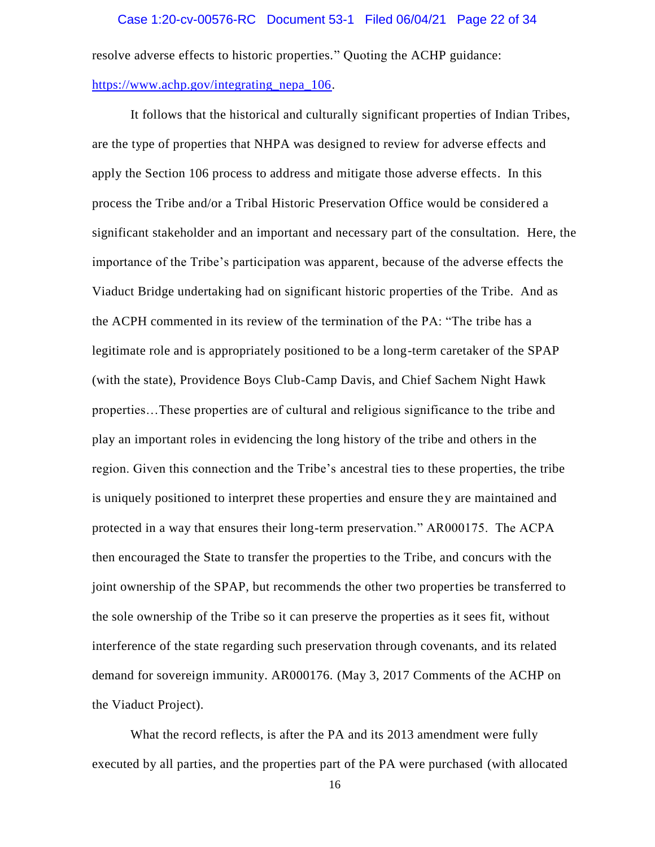#### Case 1:20-cv-00576-RC Document 53-1 Filed 06/04/21 Page 22 of 34

resolve adverse effects to historic properties." Quoting the ACHP guidance:

# [https://www.achp.gov/integrating\\_nepa\\_106.](about:blank)

It follows that the historical and culturally significant properties of Indian Tribes, are the type of properties that NHPA was designed to review for adverse effects and apply the Section 106 process to address and mitigate those adverse effects. In this process the Tribe and/or a Tribal Historic Preservation Office would be consider ed a significant stakeholder and an important and necessary part of the consultation. Here, the importance of the Tribe's participation was apparent, because of the adverse effects the Viaduct Bridge undertaking had on significant historic properties of the Tribe. And as the ACPH commented in its review of the termination of the PA: "The tribe has a legitimate role and is appropriately positioned to be a long-term caretaker of the SPAP (with the state), Providence Boys Club-Camp Davis, and Chief Sachem Night Hawk properties…These properties are of cultural and religious significance to the tribe and play an important roles in evidencing the long history of the tribe and others in the region. Given this connection and the Tribe's ancestral ties to these properties, the tribe is uniquely positioned to interpret these properties and ensure they are maintained and protected in a way that ensures their long-term preservation." AR000175. The ACPA then encouraged the State to transfer the properties to the Tribe, and concurs with the joint ownership of the SPAP, but recommends the other two properties be transferred to the sole ownership of the Tribe so it can preserve the properties as it sees fit, without interference of the state regarding such preservation through covenants, and its related demand for sovereign immunity. AR000176. (May 3, 2017 Comments of the ACHP on the Viaduct Project).

What the record reflects, is after the PA and its 2013 amendment were fully executed by all parties, and the properties part of the PA were purchased (with allocated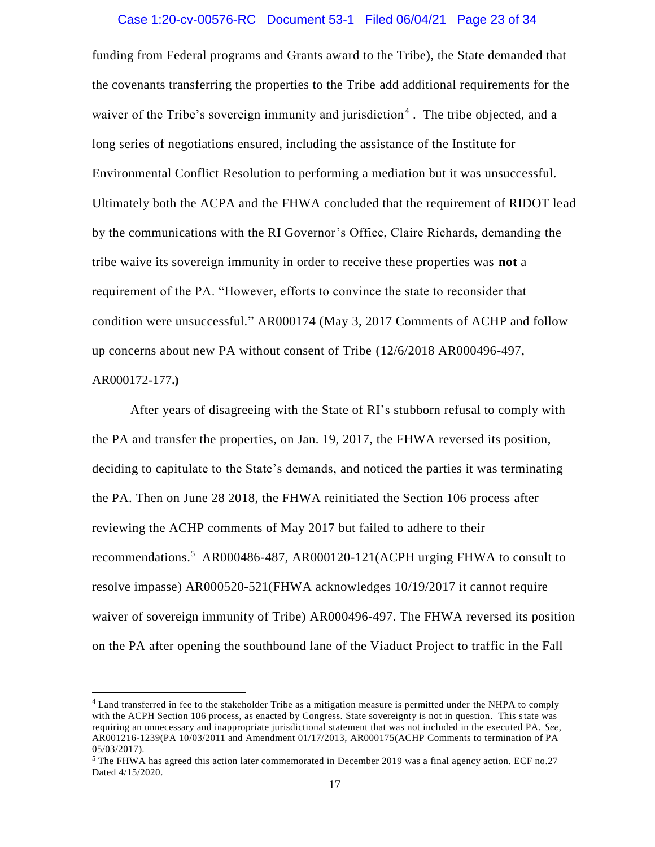#### Case 1:20-cv-00576-RC Document 53-1 Filed 06/04/21 Page 23 of 34

funding from Federal programs and Grants award to the Tribe), the State demanded that the covenants transferring the properties to the Tribe add additional requirements for the waiver of the Tribe's sovereign immunity and jurisdiction<sup>4</sup>. The tribe objected, and a long series of negotiations ensured, including the assistance of the Institute for Environmental Conflict Resolution to performing a mediation but it was unsuccessful. Ultimately both the ACPA and the FHWA concluded that the requirement of RIDOT lead by the communications with the RI Governor's Office, Claire Richards, demanding the tribe waive its sovereign immunity in order to receive these properties was **not** a requirement of the PA. "However, efforts to convince the state to reconsider that condition were unsuccessful." AR000174 (May 3, 2017 Comments of ACHP and follow up concerns about new PA without consent of Tribe (12/6/2018 AR000496-497, AR000172-177**.)**

After years of disagreeing with the State of RI's stubborn refusal to comply with the PA and transfer the properties, on Jan. 19, 2017, the FHWA reversed its position, deciding to capitulate to the State's demands, and noticed the parties it was terminating the PA. Then on June 28 2018, the FHWA reinitiated the Section 106 process after reviewing the ACHP comments of May 2017 but failed to adhere to their recommendations.<sup>5</sup> AR000486-487, AR000120-121(ACPH urging FHWA to consult to resolve impasse) AR000520-521(FHWA acknowledges 10/19/2017 it cannot require waiver of sovereign immunity of Tribe) AR000496-497. The FHWA reversed its position on the PA after opening the southbound lane of the Viaduct Project to traffic in the Fall

l

<sup>&</sup>lt;sup>4</sup> Land transferred in fee to the stakeholder Tribe as a mitigation measure is permitted under the NHPA to comply with the ACPH Section 106 process, as enacted by Congress. State sovereignty is not in question. This state was requiring an unnecessary and inappropriate jurisdictional statement that was not included in the executed PA. *See*, AR001216-1239(PA 10/03/2011 and Amendment 01/17/2013, AR000175(ACHP Comments to termination of PA 05/03/2017).

<sup>&</sup>lt;sup>5</sup> The FHWA has agreed this action later commemorated in December 2019 was a final agency action. ECF no.27 Dated 4/15/2020.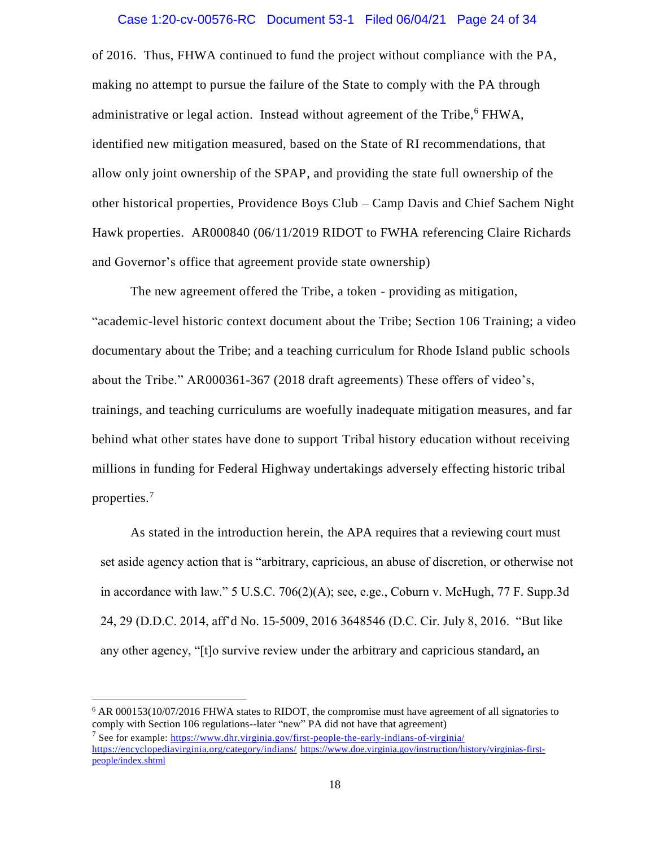#### Case 1:20-cv-00576-RC Document 53-1 Filed 06/04/21 Page 24 of 34

of 2016. Thus, FHWA continued to fund the project without compliance with the PA, making no attempt to pursue the failure of the State to comply with the PA through administrative or legal action. Instead without agreement of the Tribe,<sup>6</sup> FHWA, identified new mitigation measured, based on the State of RI recommendations, that allow only joint ownership of the SPAP, and providing the state full ownership of the other historical properties, Providence Boys Club – Camp Davis and Chief Sachem Night Hawk properties. AR000840 (06/11/2019 RIDOT to FWHA referencing Claire Richards and Governor's office that agreement provide state ownership)

The new agreement offered the Tribe, a token - providing as mitigation, "academic-level historic context document about the Tribe; Section 106 Training; a video documentary about the Tribe; and a teaching curriculum for Rhode Island public schools about the Tribe." AR000361-367 (2018 draft agreements) These offers of video's, trainings, and teaching curriculums are woefully inadequate mitigation measures, and far behind what other states have done to support Tribal history education without receiving millions in funding for Federal Highway undertakings adversely effecting historic tribal properties.<sup>7</sup>

As stated in the introduction herein, the APA requires that a reviewing court must set aside agency action that is "arbitrary, capricious, an abuse of discretion, or otherwise not in accordance with law." 5 U.S.C. 706(2)(A); see, e.ge., Coburn v. McHugh, 77 F. Supp.3d 24, 29 (D.D.C. 2014, aff'd No. 15-5009, 2016 3648546 (D.C. Cir. July 8, 2016. "But like any other agency, "[t]o survive review under the arbitrary and capricious standard**,** an

 $\overline{a}$ 

<sup>6</sup> AR 000153(10/07/2016 FHWA states to RIDOT, the compromise must have agreement of all signatories to comply with Section 106 regulations--later "new" PA did not have that agreement) <sup>7</sup> See for example: [https://www.dhr.virginia.gov/first-people-the-early-indians-of-virginia/](about:blank) [https://encyclopediavirginia.org/category/indians/](about:blank) [https://www.doe.virginia.gov/instruction/history/virginias-first](about:blank)[people/index.shtml](about:blank)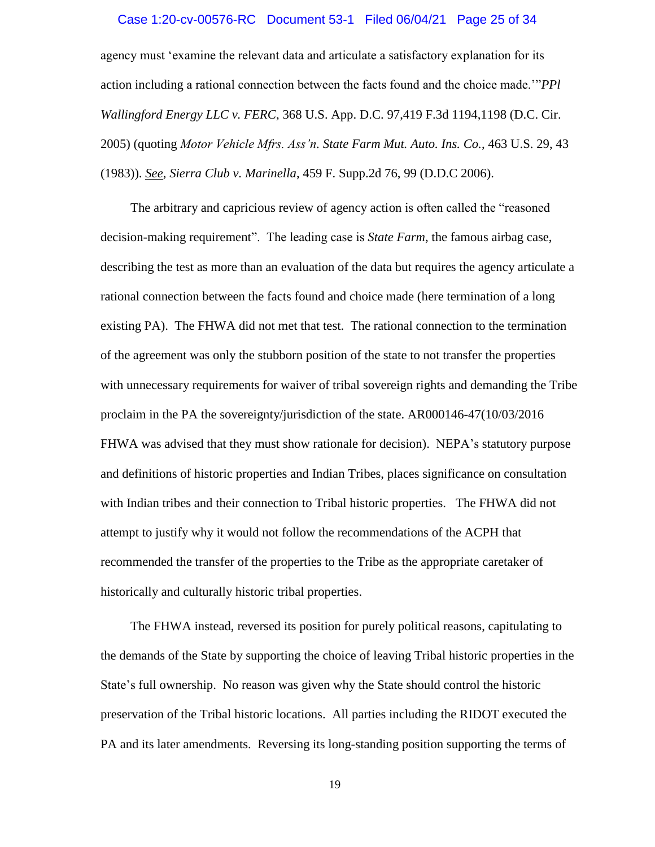#### Case 1:20-cv-00576-RC Document 53-1 Filed 06/04/21 Page 25 of 34

agency must 'examine the relevant data and articulate a satisfactory explanation for its action including a rational connection between the facts found and the choice made.'"*PPl Wallingford Energy LLC v. FERC*, 368 U.S. App. D.C. 97,419 F.3d 1194,1198 (D.C. Cir. 2005) (quoting *Motor Vehicle Mfrs. Ass'n. State Farm Mut. Auto. Ins. Co.*, 463 U.S. 29, 43 (1983)). *See*, *Sierra Club v. Marinella*, 459 F. Supp.2d 76, 99 (D.D.C 2006).

The arbitrary and capricious review of agency action is often called the "reasoned decision-making requirement". The leading case is *State Farm*, the famous airbag case, describing the test as more than an evaluation of the data but requires the agency articulate a rational connection between the facts found and choice made (here termination of a long existing PA). The FHWA did not met that test. The rational connection to the termination of the agreement was only the stubborn position of the state to not transfer the properties with unnecessary requirements for waiver of tribal sovereign rights and demanding the Tribe proclaim in the PA the sovereignty/jurisdiction of the state. AR000146-47(10/03/2016 FHWA was advised that they must show rationale for decision). NEPA's statutory purpose and definitions of historic properties and Indian Tribes, places significance on consultation with Indian tribes and their connection to Tribal historic properties. The FHWA did not attempt to justify why it would not follow the recommendations of the ACPH that recommended the transfer of the properties to the Tribe as the appropriate caretaker of historically and culturally historic tribal properties.

The FHWA instead, reversed its position for purely political reasons, capitulating to the demands of the State by supporting the choice of leaving Tribal historic properties in the State's full ownership. No reason was given why the State should control the historic preservation of the Tribal historic locations. All parties including the RIDOT executed the PA and its later amendments. Reversing its long-standing position supporting the terms of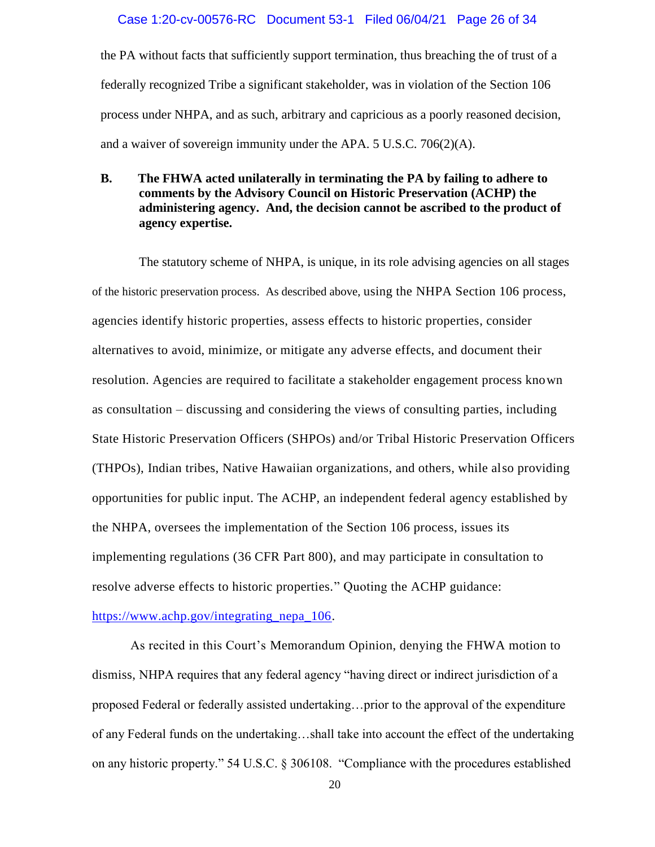#### Case 1:20-cv-00576-RC Document 53-1 Filed 06/04/21 Page 26 of 34

the PA without facts that sufficiently support termination, thus breaching the of trust of a federally recognized Tribe a significant stakeholder, was in violation of the Section 106 process under NHPA, and as such, arbitrary and capricious as a poorly reasoned decision, and a waiver of sovereign immunity under the APA. 5 U.S.C. 706(2)(A).

### **B. The FHWA acted unilaterally in terminating the PA by failing to adhere to comments by the Advisory Council on Historic Preservation (ACHP) the administering agency. And, the decision cannot be ascribed to the product of agency expertise.**

The statutory scheme of NHPA, is unique, in its role advising agencies on all stages of the historic preservation process. As described above, using the NHPA Section 106 process, agencies identify historic properties, assess effects to historic properties, consider alternatives to avoid, minimize, or mitigate any adverse effects, and document their resolution. Agencies are required to facilitate a stakeholder engagement process known as consultation – discussing and considering the views of consulting parties, including State Historic Preservation Officers (SHPOs) and/or Tribal Historic Preservation Officers (THPOs), Indian tribes, Native Hawaiian organizations, and others, while also providing opportunities for public input. The ACHP, an independent federal agency established by the NHPA, oversees the implementation of the Section 106 process, issues its implementing regulations [\(36 CFR Part 800\)](about:blank), and may participate in consultation to resolve adverse effects to historic properties." Quoting the ACHP guidance:

#### [https://www.achp.gov/integrating\\_nepa\\_106.](about:blank)

As recited in this Court's Memorandum Opinion, denying the FHWA motion to dismiss, NHPA requires that any federal agency "having direct or indirect jurisdiction of a proposed Federal or federally assisted undertaking…prior to the approval of the expenditure of any Federal funds on the undertaking…shall take into account the effect of the undertaking on any historic property." 54 U.S.C. § 306108. "Compliance with the procedures established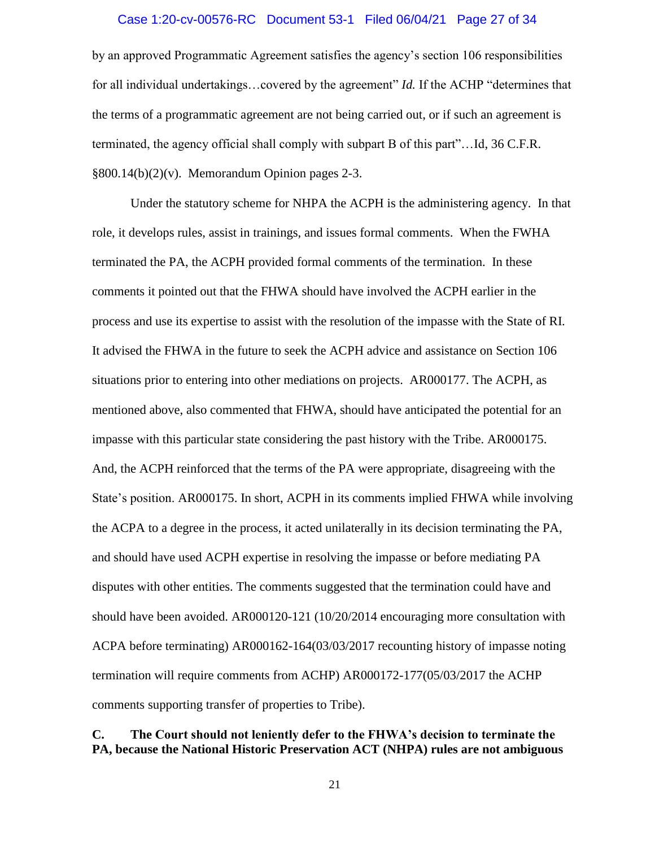#### Case 1:20-cv-00576-RC Document 53-1 Filed 06/04/21 Page 27 of 34

by an approved Programmatic Agreement satisfies the agency's section 106 responsibilities for all individual undertakings…covered by the agreement" *Id.* If the ACHP "determines that the terms of a programmatic agreement are not being carried out, or if such an agreement is terminated, the agency official shall comply with subpart B of this part"…Id, 36 C.F.R. §800.14(b)(2)(v). Memorandum Opinion pages 2-3.

Under the statutory scheme for NHPA the ACPH is the administering agency. In that role, it develops rules, assist in trainings, and issues formal comments. When the FWHA terminated the PA, the ACPH provided formal comments of the termination. In these comments it pointed out that the FHWA should have involved the ACPH earlier in the process and use its expertise to assist with the resolution of the impasse with the State of RI. It advised the FHWA in the future to seek the ACPH advice and assistance on Section 106 situations prior to entering into other mediations on projects. AR000177. The ACPH, as mentioned above, also commented that FHWA, should have anticipated the potential for an impasse with this particular state considering the past history with the Tribe. AR000175. And, the ACPH reinforced that the terms of the PA were appropriate, disagreeing with the State's position. AR000175. In short, ACPH in its comments implied FHWA while involving the ACPA to a degree in the process, it acted unilaterally in its decision terminating the PA, and should have used ACPH expertise in resolving the impasse or before mediating PA disputes with other entities. The comments suggested that the termination could have and should have been avoided. AR000120-121 (10/20/2014 encouraging more consultation with ACPA before terminating) AR000162-164(03/03/2017 recounting history of impasse noting termination will require comments from ACHP) AR000172-177(05/03/2017 the ACHP comments supporting transfer of properties to Tribe).

## **C. The Court should not leniently defer to the FHWA's decision to terminate the PA, because the National Historic Preservation ACT (NHPA) rules are not ambiguous**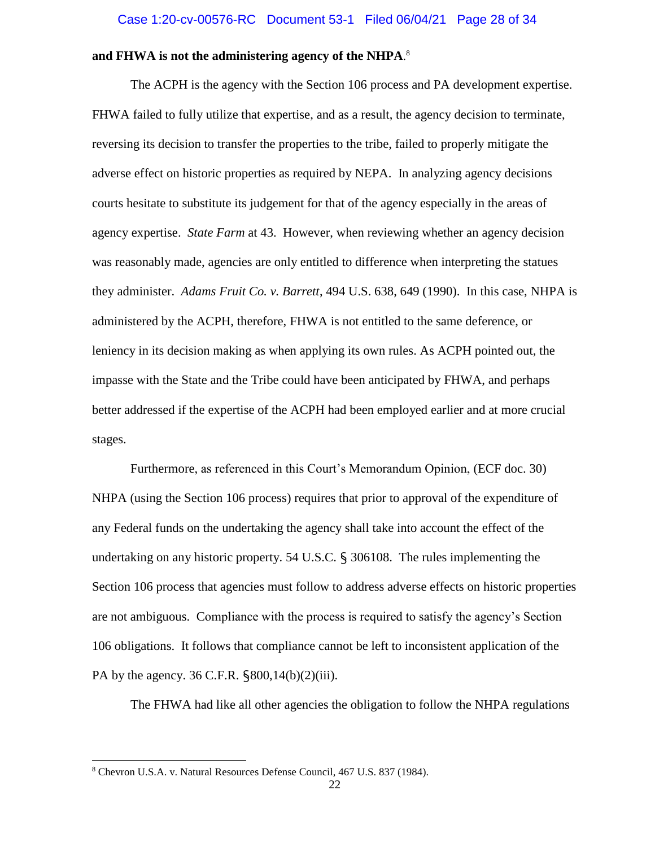#### **and FHWA is not the administering agency of the NHPA**. 8

The ACPH is the agency with the Section 106 process and PA development expertise. FHWA failed to fully utilize that expertise, and as a result, the agency decision to terminate, reversing its decision to transfer the properties to the tribe, failed to properly mitigate the adverse effect on historic properties as required by NEPA. In analyzing agency decisions courts hesitate to substitute its judgement for that of the agency especially in the areas of agency expertise. *State Farm* at 43. However, when reviewing whether an agency decision was reasonably made, agencies are only entitled to difference when interpreting the statues they administer. *Adams Fruit Co. v. Barrett*, 494 U.S. 638, 649 (1990). In this case, NHPA is administered by the ACPH, therefore, FHWA is not entitled to the same deference, or leniency in its decision making as when applying its own rules. As ACPH pointed out, the impasse with the State and the Tribe could have been anticipated by FHWA, and perhaps better addressed if the expertise of the ACPH had been employed earlier and at more crucial stages.

Furthermore, as referenced in this Court's Memorandum Opinion, (ECF doc. 30) NHPA (using the Section 106 process) requires that prior to approval of the expenditure of any Federal funds on the undertaking the agency shall take into account the effect of the undertaking on any historic property. 54 U.S.C. § 306108. The rules implementing the Section 106 process that agencies must follow to address adverse effects on historic properties are not ambiguous. Compliance with the process is required to satisfy the agency's Section 106 obligations. It follows that compliance cannot be left to inconsistent application of the PA by the agency. 36 C.F.R. §800,14(b)(2)(iii).

The FHWA had like all other agencies the obligation to follow the NHPA regulations

 $\overline{\phantom{a}}$ 

<sup>8</sup> Chevron U.S.A. v. Natural Resources Defense Council, 467 U.S. 837 (1984).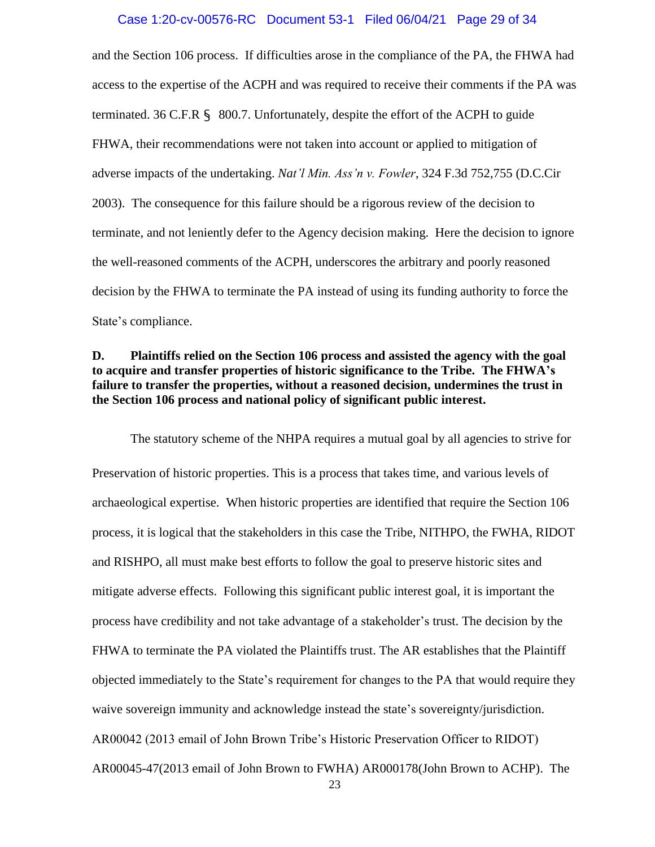#### Case 1:20-cv-00576-RC Document 53-1 Filed 06/04/21 Page 29 of 34

and the Section 106 process. If difficulties arose in the compliance of the PA, the FHWA had access to the expertise of the ACPH and was required to receive their comments if the PA was terminated. 36 C.F.R § 800.7. Unfortunately, despite the effort of the ACPH to guide FHWA, their recommendations were not taken into account or applied to mitigation of adverse impacts of the undertaking. *Nat'l Min. Ass'n v. Fowler*, 324 F.3d 752,755 (D.C.Cir 2003). The consequence for this failure should be a rigorous review of the decision to terminate, and not leniently defer to the Agency decision making. Here the decision to ignore the well-reasoned comments of the ACPH, underscores the arbitrary and poorly reasoned decision by the FHWA to terminate the PA instead of using its funding authority to force the State's compliance.

### **D. Plaintiffs relied on the Section 106 process and assisted the agency with the goal to acquire and transfer properties of historic significance to the Tribe. The FHWA's failure to transfer the properties, without a reasoned decision, undermines the trust in the Section 106 process and national policy of significant public interest.**

The statutory scheme of the NHPA requires a mutual goal by all agencies to strive for Preservation of historic properties. This is a process that takes time, and various levels of archaeological expertise. When historic properties are identified that require the Section 106 process, it is logical that the stakeholders in this case the Tribe, NITHPO, the FWHA, RIDOT and RISHPO, all must make best efforts to follow the goal to preserve historic sites and mitigate adverse effects. Following this significant public interest goal, it is important the process have credibility and not take advantage of a stakeholder's trust. The decision by the FHWA to terminate the PA violated the Plaintiffs trust. The AR establishes that the Plaintiff objected immediately to the State's requirement for changes to the PA that would require they waive sovereign immunity and acknowledge instead the state's sovereignty/jurisdiction. AR00042 (2013 email of John Brown Tribe's Historic Preservation Officer to RIDOT) AR00045-47(2013 email of John Brown to FWHA) AR000178(John Brown to ACHP). The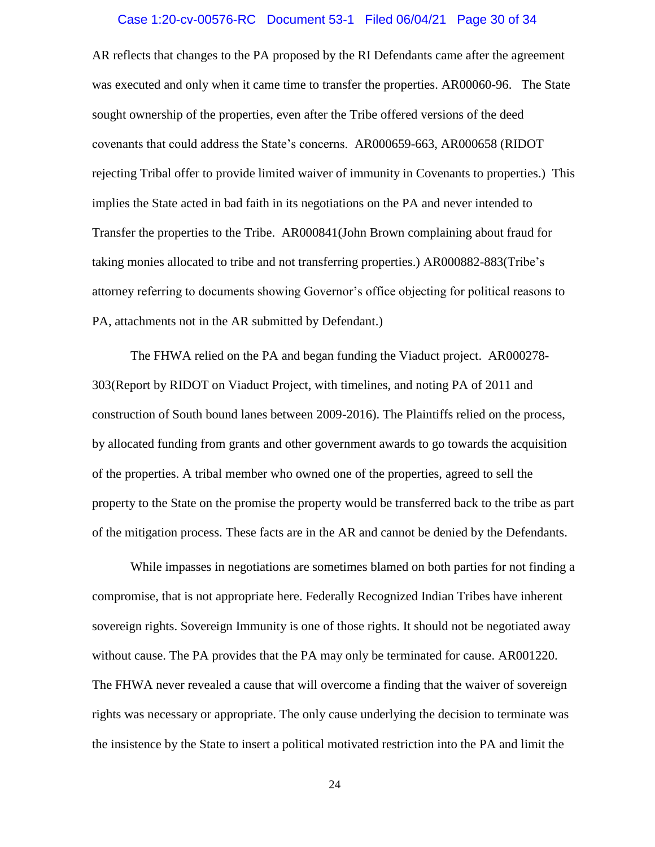#### Case 1:20-cv-00576-RC Document 53-1 Filed 06/04/21 Page 30 of 34

AR reflects that changes to the PA proposed by the RI Defendants came after the agreement was executed and only when it came time to transfer the properties. AR00060-96. The State sought ownership of the properties, even after the Tribe offered versions of the deed covenants that could address the State's concerns. AR000659-663, AR000658 (RIDOT rejecting Tribal offer to provide limited waiver of immunity in Covenants to properties.) This implies the State acted in bad faith in its negotiations on the PA and never intended to Transfer the properties to the Tribe. AR000841(John Brown complaining about fraud for taking monies allocated to tribe and not transferring properties.) AR000882-883(Tribe's attorney referring to documents showing Governor's office objecting for political reasons to PA, attachments not in the AR submitted by Defendant.)

The FHWA relied on the PA and began funding the Viaduct project. AR000278- 303(Report by RIDOT on Viaduct Project, with timelines, and noting PA of 2011 and construction of South bound lanes between 2009-2016). The Plaintiffs relied on the process, by allocated funding from grants and other government awards to go towards the acquisition of the properties. A tribal member who owned one of the properties, agreed to sell the property to the State on the promise the property would be transferred back to the tribe as part of the mitigation process. These facts are in the AR and cannot be denied by the Defendants.

While impasses in negotiations are sometimes blamed on both parties for not finding a compromise, that is not appropriate here. Federally Recognized Indian Tribes have inherent sovereign rights. Sovereign Immunity is one of those rights. It should not be negotiated away without cause. The PA provides that the PA may only be terminated for cause. AR001220. The FHWA never revealed a cause that will overcome a finding that the waiver of sovereign rights was necessary or appropriate. The only cause underlying the decision to terminate was the insistence by the State to insert a political motivated restriction into the PA and limit the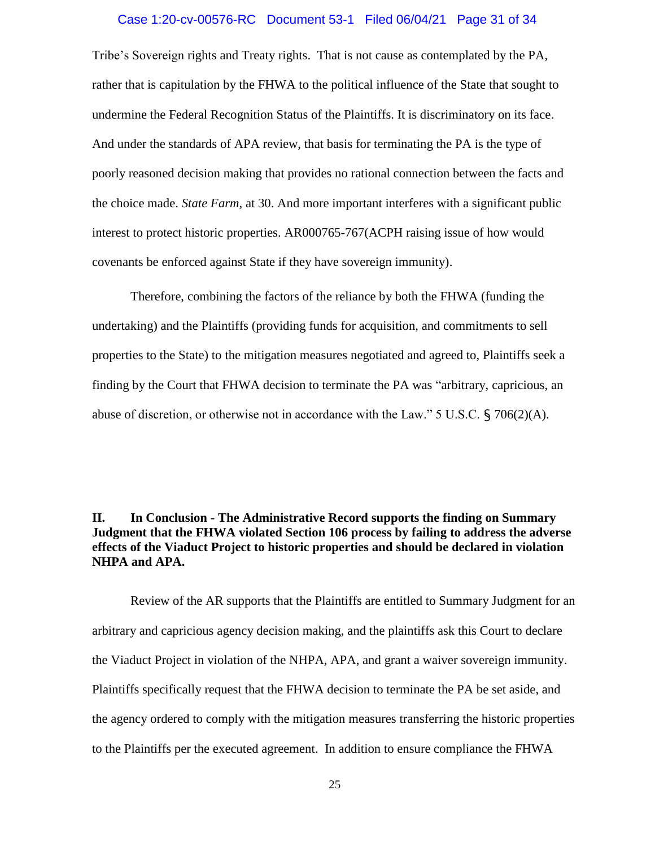#### Case 1:20-cv-00576-RC Document 53-1 Filed 06/04/21 Page 31 of 34

Tribe's Sovereign rights and Treaty rights. That is not cause as contemplated by the PA, rather that is capitulation by the FHWA to the political influence of the State that sought to undermine the Federal Recognition Status of the Plaintiffs. It is discriminatory on its face. And under the standards of APA review, that basis for terminating the PA is the type of poorly reasoned decision making that provides no rational connection between the facts and the choice made. *State Farm*, at 30. And more important interferes with a significant public interest to protect historic properties. AR000765-767(ACPH raising issue of how would covenants be enforced against State if they have sovereign immunity).

Therefore, combining the factors of the reliance by both the FHWA (funding the undertaking) and the Plaintiffs (providing funds for acquisition, and commitments to sell properties to the State) to the mitigation measures negotiated and agreed to, Plaintiffs seek a finding by the Court that FHWA decision to terminate the PA was "arbitrary, capricious, an abuse of discretion, or otherwise not in accordance with the Law." 5 U.S.C.  $\{706(2)(A)\}$ .

### **II. In Conclusion - The Administrative Record supports the finding on Summary Judgment that the FHWA violated Section 106 process by failing to address the adverse effects of the Viaduct Project to historic properties and should be declared in violation NHPA and APA.**

Review of the AR supports that the Plaintiffs are entitled to Summary Judgment for an arbitrary and capricious agency decision making, and the plaintiffs ask this Court to declare the Viaduct Project in violation of the NHPA, APA, and grant a waiver sovereign immunity. Plaintiffs specifically request that the FHWA decision to terminate the PA be set aside, and the agency ordered to comply with the mitigation measures transferring the historic properties to the Plaintiffs per the executed agreement. In addition to ensure compliance the FHWA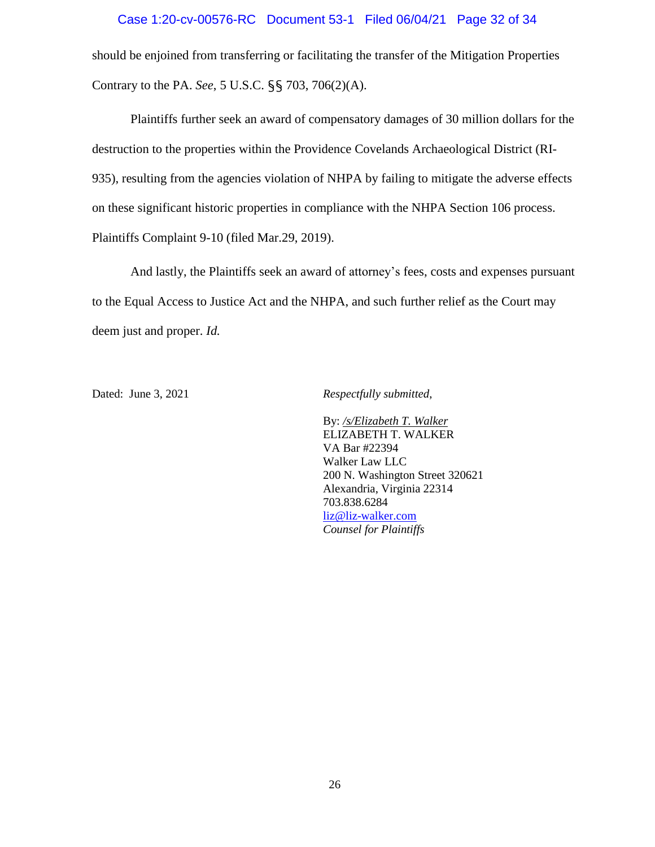#### Case 1:20-cv-00576-RC Document 53-1 Filed 06/04/21 Page 32 of 34

should be enjoined from transferring or facilitating the transfer of the Mitigation Properties Contrary to the PA. *See*, 5 U.S.C. §§ 703, 706(2)(A).

Plaintiffs further seek an award of compensatory damages of 30 million dollars for the destruction to the properties within the Providence Covelands Archaeological District (RI-935), resulting from the agencies violation of NHPA by failing to mitigate the adverse effects on these significant historic properties in compliance with the NHPA Section 106 process. Plaintiffs Complaint 9-10 (filed Mar.29, 2019).

And lastly, the Plaintiffs seek an award of attorney's fees, costs and expenses pursuant to the Equal Access to Justice Act and the NHPA, and such further relief as the Court may deem just and proper. *Id.*

Dated: June 3, 2021 *Respectfully submitted*,

By: */s/Elizabeth T. Walker* ELIZABETH T. WALKER VA Bar #22394 Walker Law LLC 200 N. Washington Street 320621 Alexandria, Virginia 22314 703.838.6284 [liz@liz-walker.com](about:blank) *Counsel for Plaintiffs*